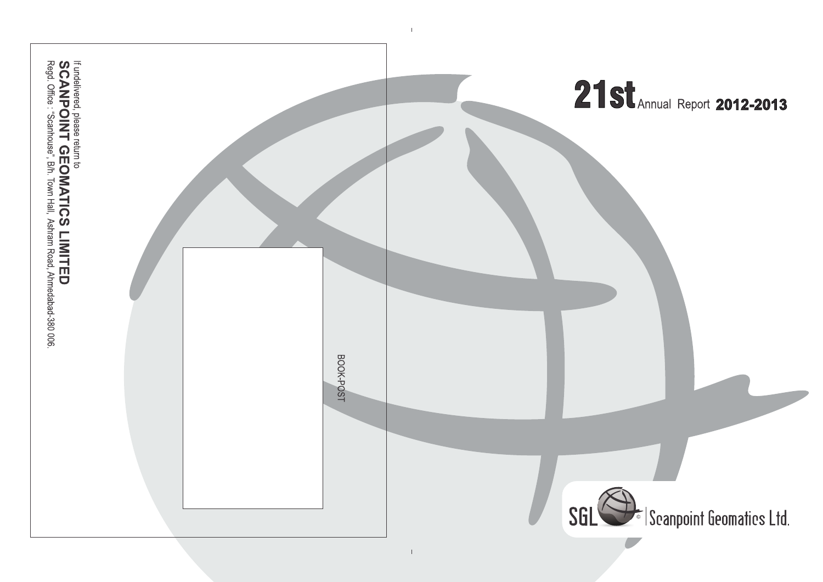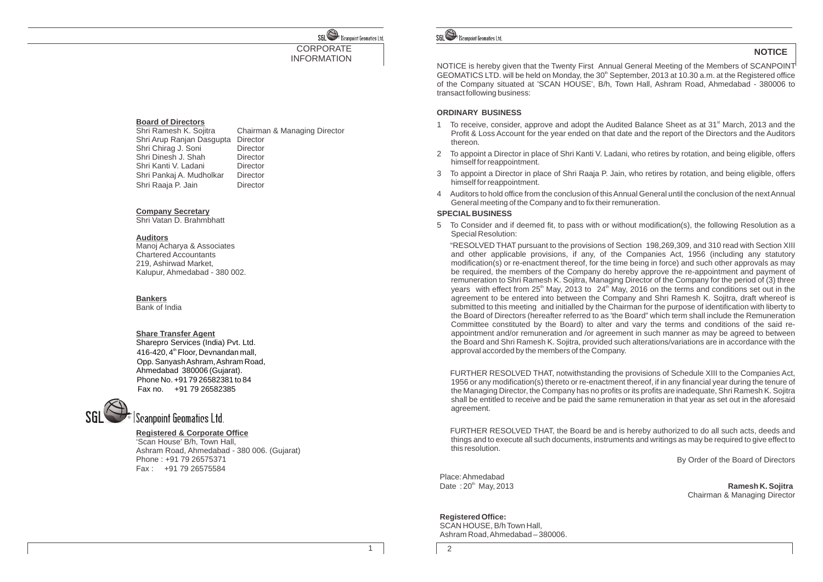

INFORMATION

# **Board of Directors**<br>**Shri Ramesh K. Soiitra**

Shri Arup Ranjan Dasgupta Director<br>Shri Chiraq J. Soni Director Shri Chirag J. Soni Director<br>Shri Dinesh J. Shah Director Shri Dinesh J. Shah Director<br>Shri Kanti V. Ladani Director Shri Kanti V. Ladani Director<br>Shri Pankai A Mudholkar Director Shri Pankai A. Mudholkar Shri Raaja P. Jain Director

Chairman & Managing Director<br>Director

#### **Company Secretary**

Shri Vatan D. Brahmbhatt

#### **Auditors**

Manoj Acharya & Associates Chartered Accountants 219, Ashirwad Market, Kalupur, Ahmedabad - 380 002.

#### **Bankers**

Bank of India

#### **Share Transfer Agent**

Sharepro Services (India) Pvt. Ltd. 416-420, 4<sup>th</sup> Floor, Devnandan mall, Opp. Sanyash Ashram, Ashram Road, Ahmedabad 380006 (Gujarat). Phone No. +91 79 26582381 to 84 Fax no. +91 79 26582385



#### **Registered & Corporate Office**

'Scan House' B/h, Town Hall, Ashram Road, Ahmedabad - 380 006. (Gujarat) Phone : +91 79 26575371 Fax : +91 79 26575584

# SGL<sup>S</sup> Scanpoint Geomatics Ltd.

NOTICE is hereby given that the Twenty First Annual General Meeting of the Members of SCANPOINT GEOMATICS LTD, will be held on Monday, the 30<sup>th</sup> September, 2013 at 10.30 a.m. at the Registered office of the Company situated at 'SCAN HOUSE', B/h, Town Hall, Ashram Road, Ahmedabad - 380006 to transact following business:

#### **ORDINARY BUSINESS**

- 1 To receive, consider, approve and adopt the Audited Balance Sheet as at 31<sup><sup>st</sup> March, 2013 and the</sup> Profit & Loss Account for the year ended on that date and the report of the Directors and the Auditors thereon.
- 2 To appoint a Director in place of Shri Kanti V. Ladani, who retires by rotation, and being eligible, offers himself for reappointment.
- 3 To appoint a Director in place of Shri Raaja P. Jain, who retires by rotation, and being eligible, offers himself for reappointment.
- 4 Auditors to hold office from the conclusion of this Annual General until the conclusion of the next Annual General meeting of the Company and to fix their remuneration.

#### **SPECIAL BUSINESS**

5 To Consider and if deemed fit, to pass with or without modification(s), the following Resolution as a Special Resolution:

"RESOLVED THAT pursuant to the provisions of Section 198,269,309, and 310 read with Section XIII and other applicable provisions, if any, of the Companies Act, 1956 (including any statutory modification(s) or re-enactment thereof, for the time being in force) and such other approvals as may be required, the members of the Company do hereby approve the re-appointment and payment of remuneration to Shri Ramesh K. Sojitra, Managing Director of the Company for the period of (3) three years with effect from 25<sup>th</sup> May, 2013 to  $24<sup>th</sup>$  May, 2016 on the terms and conditions set out in the agreement to be entered into between the Company and Shri Ramesh K. Sojitra, draft whereof is submitted to this meeting and initialled by the Chairman for the purpose of identification with liberty to the Board of Directors (hereafter referred to as 'the Board" which term shall include the Remuneration Committee constituted by the Board) to alter and vary the terms and conditions of the said reappointment and/or remuneration and /or agreement in such manner as may be agreed to between the Board and Shri Ramesh K. Sojitra, provided such alterations/variations are in accordance with the approval accorded by the members of the Company.

FURTHER RESOLVED THAT, notwithstanding the provisions of Schedule XIII to the Companies Act, 1956 or any modification(s) thereto or re-enactment thereof, if in any financial year during the tenure of the Managing Director, the Company has no profits or its profits are inadequate, Shri Ramesh K. Sojitra shall be entitled to receive and be paid the same remuneration in that year as set out in the aforesaid agreement.

FURTHER RESOLVED THAT, the Board be and is hereby authorized to do all such acts, deeds and things and to execute all such documents, instruments and writings as may be required to give effect to this resolution.

By Order of the Board of Directors

Place: Ahmedabad

th Date : 20 May, 2013 **Ramesh K. Sojitra** Chairman & Managing Director

#### **Registered Office:**

2

SCAN HOUSE, B/h Town Hall, Ashram Road, Ahmedabad – 380006.

1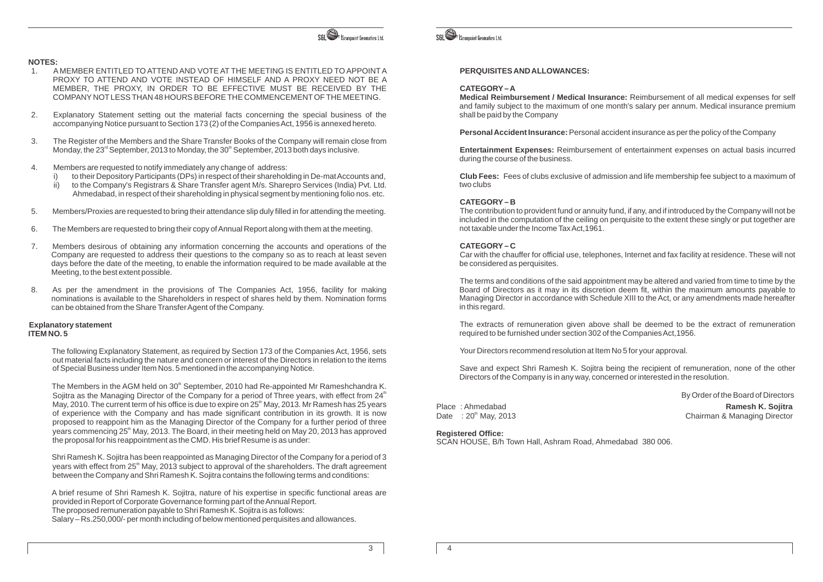



- **NOTES:**<br>1. A 1. A MEMBER ENTITLED TO ATTEND AND VOTE AT THE MEETING IS ENTITLED TO APPOINTA PROXY TO ATTEND AND VOTE INSTEAD OF HIMSELF AND A PROXY NEED NOT BE A MEMBER, THE PROXY, IN ORDER TO BE EFFECTIVE MUST BE RECEIVED BY THE COMPANY NOTLESS THAN 48 HOURS BEFORE THE COMMENCEMENTOF THE MEETING.
- 2. Explanatory Statement setting out the material facts concerning the special business of the accompanying Notice pursuant to Section 173 (2) of the Companies Act, 1956 is annexed hereto.
- 3. The Register of the Members and the Share Transfer Books of the Company will remain close from Monday, the  $23<sup>rd</sup>$  September, 2013 to Monday, the  $30<sup>th</sup>$  September, 2013 both days inclusive.
- 4. Members are requested to notify immediately any change of address:
	- i) to their Depository Participants (DPs) in respect of their shareholding in De-mat Accounts and,<br>ii) to the Company's Registrars & Share Transfer agent M/s. Sharepro Services (India) Pyt. Ltd.
	- to the Company's Registrars & Share Transfer agent M/s. Sharepro Services (India) Pvt. Ltd. Ahmedabad, in respect of their shareholding in physical segment by mentioning folio nos. etc.
- 5. Members/Proxies are requested to bring their attendance slip duly filled in for attending the meeting.
- 6. The Members are requested to bring their copy of Annual Report along with them at the meeting.
- 7. Members desirous of obtaining any information concerning the accounts and operations of the Company are requested to address their questions to the company so as to reach at least seven days before the date of the meeting, to enable the information required to be made available at the Meeting, to the best extent possible.
- 8. As per the amendment in the provisions of The Companies Act, 1956, facility for making nominations is available to the Shareholders in respect of shares held by them. Nomination forms can be obtained from the Share Transfer Agent of the Company.

#### **Explanatory statement ITEM NO. 5**

The following Explanatory Statement, as required by Section 173 of the Companies Act, 1956, sets out material facts including the nature and concern or interest of the Directors in relation to the items of Special Business under Item Nos. 5 mentioned in the accompanying Notice.

The Members in the AGM held on 30<sup>th</sup> September, 2010 had Re-appointed Mr Rameshchandra K. Sojitra as the Managing Director of the Company for a period of Three years, with effect from 24<sup>th</sup> May, 2010. The current term of his office is due to expire on 25<sup>th</sup> May, 2013. Mr Ramesh has 25 years of experience with the Company and has made significant contribution in its growth. It is now proposed to reappoint him as the Managing Director of the Company for a further period of three years commencing 25<sup>th</sup> May, 2013. The Board, in their meeting held on May 20, 2013 has approved the proposal for his reappointment as the CMD. His brief Resume is as under:

Shri Ramesh K. Sojitra has been reappointed as Managing Director of the Company for a period of 3 years with effect from 25<sup>th</sup> May, 2013 subject to approval of the shareholders. The draft agreement between the Company and Shri Ramesh K. Sojitra contains the following terms and conditions:

A brief resume of Shri Ramesh K. Sojitra, nature of his expertise in specific functional areas are provided in Report of Corporate Governance forming part of the Annual Report. The proposed remuneration payable to Shri Ramesh K. Sojitra is as follows: Salary – Rs.250,000/- per month including of below mentioned perquisites and allowances.

#### **PERQUISITES AND ALLOWANCES:**

#### **CATEGORY– A**

**Medical Reimbursement / Medical Insurance:** Reimbursement of all medical expenses for self and family subject to the maximum of one month's salary per annum. Medical insurance premium shall be paid by the Company

**Personal Accident Insurance:** Personal accident insurance as per the policy of the Company

**Entertainment Expenses:** Reimbursement of entertainment expenses on actual basis incurred during the course of the business.

**Club Fees:** Fees of clubs exclusive of admission and life membership fee subject to a maximum of two clubs

#### **CATEGORY– B**

The contribution to provident fund or annuity fund, if any, and if introduced by the Company will not be included in the computation of the ceiling on perquisite to the extent these singly or put together are not taxable under the Income Tax Act,1961.

#### **CATEGORY– C**

Car with the chauffer for official use, telephones, Internet and fax facility at residence. These will not be considered as perquisites.

The terms and conditions of the said appointment may be altered and varied from time to time by the Board of Directors as it may in its discretion deem fit, within the maximum amounts payable to Managing Director in accordance with Schedule XIII to the Act, or any amendments made hereafter in this regard.

The extracts of remuneration given above shall be deemed to be the extract of remuneration required to be furnished under section 302 of the Companies Act,1956.

Your Directors recommend resolution at Item No 5 for your approval.

Save and expect Shri Ramesh K. Sojitra being the recipient of remuneration, none of the other Directors of the Company is in any way, concerned or interested in the resolution.

By Order of the Board of Directors

Chairman & Managing Director

Place : Ahmedabad **Ramesh K. Sojitra**

# **Registered Office:**

SCAN HOUSE, B/h Town Hall, Ashram Road, Ahmedabad 380 006.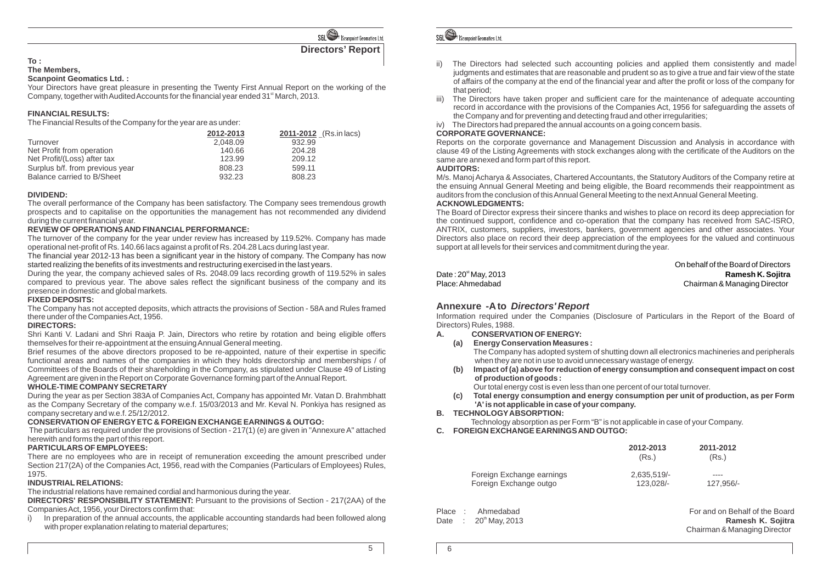# $\mathsf{SFI}$   $\bigotimes$   $\mathsf{S}$   $\mathsf{S}$   $\mathsf{S}$   $\mathsf{S}$   $\mathsf{S}$   $\mathsf{S}$   $\mathsf{S}$   $\mathsf{S}$   $\mathsf{S}$   $\mathsf{S}$   $\mathsf{S}$   $\mathsf{S}$   $\mathsf{S}$   $\mathsf{S}$   $\mathsf{S}$   $\mathsf{S}$   $\mathsf{S}$   $\mathsf{S}$   $\mathsf{S}$   $\mathsf{S}$   $\mathsf{S}$   $\mathsf{S}$   $\mathsf{S$

**Directors' Report** 

#### **To : The Members, Scanpoint Geomatics Ltd. :**

Your Directors have great pleasure in presenting the Twenty First Annual Report on the working of the Company, together with Audited Accounts for the financial year ended  $31<sup>st</sup>$  March, 2013.

### **FINANCIAL RESULTS:**

The Financial Results of the Company for the year are as under:

|                                 | 2012-2013 | 2011-2012 (Rs.in lacs) |
|---------------------------------|-----------|------------------------|
| Turnover                        | 2.048.09  | 932.99                 |
| Net Profit from operation       | 140.66    | 204.28                 |
| Net Profit/(Loss) after tax     | 123.99    | 209.12                 |
| Surplus b/f. from previous year | 808.23    | 599.11                 |
| Balance carried to B/Sheet      | 932.23    | 808.23                 |

### **DIVIDEND:**

The overall performance of the Company has been satisfactory. The Company sees tremendous growth prospects and to capitalise on the opportunities the management has not recommended any dividend during the current financial year.

#### **REVIEW OF OPERATIONS AND FINANCIALPERFORMANCE:**

The turnover of the company for the year under review has increased by 119.52%. Company has made operational net-profit of Rs. 140.66 lacs against a profit of Rs. 204.28 Lacs during last year.

The financial year 2012-13 has been a significant year in the history of company. The Company has now started realizing the benefits of its investments and restructuring exercised in the last years.

During the year, the company achieved sales of Rs. 2048.09 lacs recording growth of 119.52% in sales compared to previous year. The above sales reflect the significant business of the company and its presence in domestic and global markets*.* 

#### **FIXED DEPOSITS:**

The Company has not accepted deposits, which attracts the provisions of Section - 58A and Rules framed there under of the Companies Act, 1956.

#### **DIRECTORS:**

Shri Kanti V. Ladani and Shri Raaja P. Jain, Directors who retire by rotation and being eligible offers themselves for their re-appointment at the ensuing Annual General meeting.

Brief resumes of the above directors proposed to be re-appointed, nature of their expertise in specific functional areas and names of the companies in which they holds directorship and memberships / of Committees of the Boards of their shareholding in the Company, as stipulated under Clause 49 of Listing Agreement are given in the Report on Corporate Governance forming part of the Annual Report.

#### **WHOLE-TIME COMPANYSECRETARY**

During the year as per Section 383Aof Companies Act, Company has appointed Mr. Vatan D. Brahmbhatt as the Company Secretary of the company w.e.f. 15/03/2013 and Mr. Keval N. Ponkiya has resigned as company secretary and w.e.f. 25/12/2012.

#### **CONSERVATION OF ENERGYETC & FOREIGN EXCHANGE EARNINGS & OUTGO:**

The particulars as required under the provisions of Section - 217(1) (e) are given in "Annexure A" attached herewith and forms the part of this report.

#### **PARTICULARS OF EMPLOYEES:**

There are no employees who are in receipt of remuneration exceeding the amount prescribed under Section 217(2A) of the Companies Act, 1956, read with the Companies (Particulars of Employees) Rules, 1975.

#### **INDUSTRIAL RELATIONS:**

The industrial relations have remained cordial and harmonious during the year.

**DIRECTORS' RESPONSIBILITY STATEMENT:** Pursuant to the provisions of Section - 217(2AA) of the Companies Act, 1956, your Directors confirm that:

i) In preparation of the annual accounts, the applicable accounting standards had been followed along with proper explanation relating to material departures;

# SGL<sup>S</sup> Scanpoint Geomatics Ltd.

- The Directors had selected such accounting policies and applied them consistently and made judgments and estimates that are reasonable and prudent so as to give a true and fair view of the state of affairs of the company at the end of the financial year and after the profit or loss of the company for that period;
- iii) The Directors have taken proper and sufficient care for the maintenance of adequate accounting record in accordance with the provisions of the Companies Act, 1956 for safeguarding the assets of the Company and for preventing and detecting fraud and other irregularities;

iv) The Directors had prepared the annual accounts on a going concern basis.

#### **CORPORATE GOVERNANCE:**

Reports on the corporate governance and Management Discussion and Analysis in accordance with clause 49 of the Listing Agreements with stock exchanges along with the certificate of the Auditors on the same are annexed and form part of this report.

#### **AUDITORS:**

M/s. Manoj Acharya & Associates, Chartered Accountants, the Statutory Auditors of the Company retire at the ensuing Annual General Meeting and being eligible, the Board recommends their reappointment as auditors from the conclusion of this Annual General Meeting to the next Annual General Meeting.

#### **ACKNOWLEDGMENTS:**

The Board of Director express their sincere thanks and wishes to place on record its deep appreciation for the continued support, confidence and co-operation that the company has received from SAC-ISRO, ANTRIX, customers, suppliers, investors, bankers, government agencies and other associates. Your Directors also place on record their deep appreciation of the employees for the valued and continuous support at all levels for their services and commitment during the year.

|                                   | On behalf of the Board of Directors |
|-----------------------------------|-------------------------------------|
| Date : 20 <sup>st</sup> May, 2013 | Ramesh K. Sojitra                   |
| Place: Ahmedabad                  | Chairman & Managing Director        |

### **Annexure -Ato** *Directors' Report*

Information required under the Companies (Disclosure of Particulars in the Report of the Board of Directors) Rules, 1988.<br>A CONSERVA

- **A. CONSERVATION OF ENERGY:**
	- **(a) Energy Conservation Measures :** The Company has adopted system of shutting down all electronics machineries and peripherals when they are not in use to avoid unnecessary wastage of energy.
	- **(b) Impact of (a) above for reduction of energy consumption and consequent impact on cost of production of goods :**

Our total energy cost is even less than one percent of our total turnover.

**(c) Total energy consumption and energy consumption per unit of production, as per Form 'A' is not applicable in case of your company.**

#### **B. TECHNOLOGYABSORPTION:**

Technology absorption as per Form "B" is not applicable in case of your Company.

**C. FOREIGN EXCHANGE EARNINGS AND OUTGO:**

|                                                     | 2012-2013<br>(Rs.)      | 2011-2012<br>(Rs.) |
|-----------------------------------------------------|-------------------------|--------------------|
| Foreign Exchange earnings<br>Foreign Exchange outgo | 2,635,519/<br>123.028/- | 127,956/-          |
|                                                     |                         |                    |

|  | Place : Ahmedabad                | For and on Behalf of the Board |
|--|----------------------------------|--------------------------------|
|  | Date: 20 <sup>th</sup> May, 2013 | Ramesh K. Sojitra              |
|  |                                  | Chairman & Managing Director   |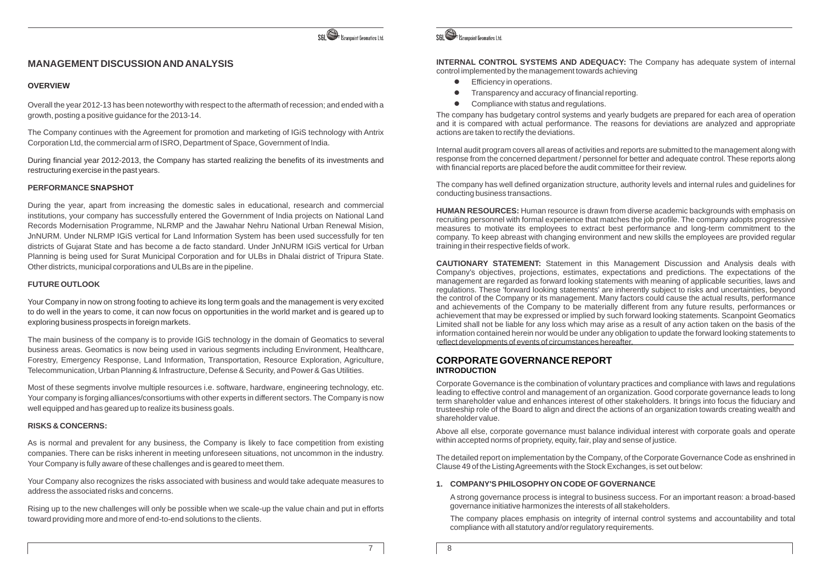

# SGL<sup>9</sup> | Scanpoint Geomatics Ltd.

**MANAGEMENT DISCUSSION AND ANALYSIS**

#### **OVERVIEW**

Overall the year 2012-13 has been noteworthy with respect to the aftermath of recession; and ended with a growth, posting a positive guidance for the 2013-14.

The Company continues with the Agreement for promotion and marketing of IGiS technology with Antrix Corporation Ltd, the commercial arm of ISRO, Department of Space, Government of India.

During financial year 2012-2013, the Company has started realizing the benefits of its investments and restructuring exercise in the past years.

### **SNAPSHOT PERFORMANCE**

During the year, apart from increasing the domestic sales in educational, research and commercial institutions, your company has successfully entered the Government of India projects on National Land Records Modernisation Programme, NLRMP and the Jawahar Nehru National Urban Renewal Mision, JnNURM. Under NLRMP IGiS vertical for Land Information System has been used successfully for ten districts of Gujarat State and has become a de facto standard. Under JnNURM IGiS vertical for Urban Planning is being used for Surat Municipal Corporation and for ULBs in Dhalai district of Tripura State. Other districts, municipal corporations and ULBs are in the pipeline.

#### **FUTURE OUTLOOK**

Your Company in now on strong footing to achieve its long term goals and the management is very excited to do well in the years to come, it can now focus on opportunities in the world market and is geared up to exploring business prospects in foreign markets.

The main business of the company is to provide IGiS technology in the domain of Geomatics to several business areas. Geomatics is now being used in various segments including Environment, Healthcare, Forestry, Emergency Response, Land Information, Transportation, Resource Exploration, Agriculture, Telecommunication, Urban Planning & Infrastructure, Defense & Security, and Power & Gas Utilities.

Most of these segments involve multiple resources i.e. software, hardware, engineering technology, etc. Your company is forging alliances/consortiums with other experts in different sectors. The Company is now well equipped and has geared up to realize its business goals.

#### **RISKS & CONCERNS:**

As is normal and prevalent for any business, the Company is likely to face competition from existing companies. There can be risks inherent in meeting unforeseen situations, not uncommon in the industry. Your Company is fully aware of these challenges and is geared to meet them.

Your Company also recognizes the risks associated with business and would take adequate measures to address the associated risks and concerns.

Rising up to the new challenges will only be possible when we scale-up the value chain and put in efforts toward providing more and more of end-to-end solutions to the clients.

**INTERNAL CONTROL SYSTEMS AND ADEQUACY:** The Company has adequate system of internal control implemented by the management towards achieving

- **•** Efficiency in operations.
- Transparency and accuracy of financial reporting.  $\bullet$
- Compliance with status and regulations.  $\bullet$

The company has budgetary control systems and yearly budgets are prepared for each area of operation and it is compared with actual performance. The reasons for deviations are analyzed and appropriate actions are taken to rectify the deviations.

Internal audit program covers all areas of activities and reports are submitted to the management along with response from the concerned department / personnel for better and adequate control. These reports along with financial reports are placed before the audit committee for their review.

The company has well defined organization structure, authority levels and internal rules and guidelines for conducting business transactions.

**HUMAN RESOURCES:** Human resource is drawn from diverse academic backgrounds with emphasis on recruiting personnel with formal experience that matches the job profile. The company adopts progressive measures to motivate its employees to extract best performance and long-term commitment to the company. To keep abreast with changing environment and new skills the employees are provided regular training in their respective fields of work.

**CAUTIONARY STATEMENT:** Statement in this Management Discussion and Analysis deals with Company's objectives, projections, estimates, expectations and predictions. The expectations of the management are regarded as forward looking statements with meaning of applicable securities, laws and regulations. These 'forward looking statements' are inherently subject to risks and uncertainties, beyond the control of the Company or its management. Many factors could cause the actual results, performance and achievements of the Company to be materially different from any future results, performances or achievement that may be expressed or implied by such forward looking statements. Scanpoint Geomatics Limited shall not be liable for any loss which may arise as a result of any action taken on the basis of the information contained herein nor would be under any obligation to update the forward looking statements to reflect developments of events of circumstances hereafter.

### **CORPORATE GOVERNANCE REPORT INTRODUCTION**

Corporate Governance is the combination of voluntary practices and compliance with laws and regulations leading to effective control and management of an organization. Good corporate governance leads to long term shareholder value and enhances interest of other stakeholders. It brings into focus the fiduciary and trusteeship role of the Board to align and direct the actions of an organization towards creating wealth and shareholder value.

Above all else, corporate governance must balance individual interest with corporate goals and operate within accepted norms of propriety, equity, fair, play and sense of justice.

The detailed report on implementation by the Company, of the Corporate Governance Code as enshrined in Clause 49 of the Listing Agreements with the Stock Exchanges, is set out below:

#### **1. COMPANY'S PHILOSOPHYON CODE OF GOVERNANCE**

Astrong governance process is integral to business success. For an important reason: a broad-based governance initiative harmonizes the interests of all stakeholders.

 The company places emphasis on integrity of internal control systems and accountability and total compliance with all statutory and/or regulatory requirements.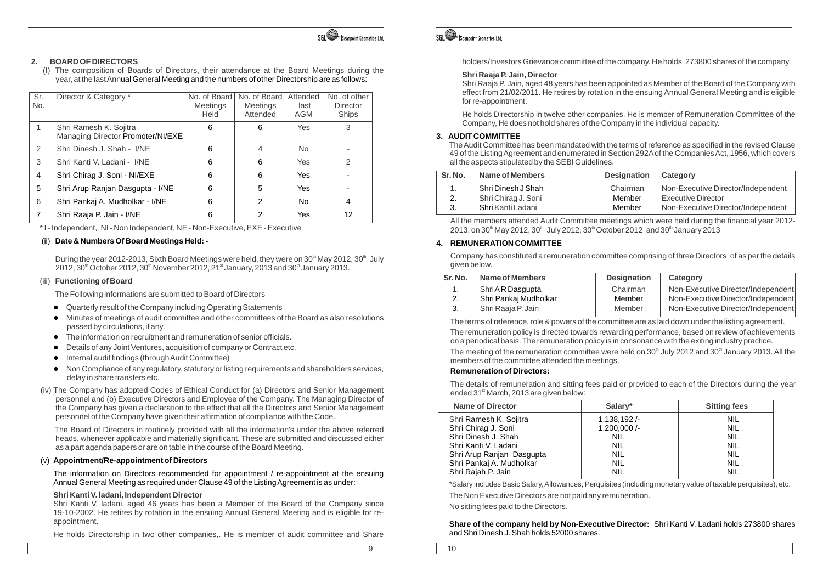

#### **2. BOARD OF DIRECTORS**

 (I) The composition of Boards of Directors, their attendance at the Board Meetings during the year, at the last Ann ual General Meeting and the numbers of other Directorship are as follows:

| Sr.<br>No. | Director & Category *                                       | No. of Board L<br>Meetings<br>Held | No. of Board<br><b>Meetings</b><br>Attended | Attended<br>last<br><b>AGM</b> | No. of other<br><b>Director</b><br><b>Ships</b> |
|------------|-------------------------------------------------------------|------------------------------------|---------------------------------------------|--------------------------------|-------------------------------------------------|
|            | Shri Ramesh K. Sojitra<br>Managing Director Promoter/NI/EXE | 6                                  | 6                                           | Yes                            | 3                                               |
| 2          | Shri Dinesh J. Shah - I/NE                                  | 6                                  | 4                                           | No.                            |                                                 |
| 3          | Shri Kanti V. Ladani - I/NE                                 | 6                                  | 6                                           | Yes                            | $\mathcal{P}$                                   |
| 4          | Shri Chiraq J. Soni - NI/EXE                                | 6                                  | 6                                           | Yes                            |                                                 |
| 5          | Shri Arup Ranjan Dasgupta - I/NE                            | 6                                  | 5                                           | <b>Yes</b>                     |                                                 |
| 6          | Shri Pankaj A. Mudholkar - I/NE                             | 6                                  | 2                                           | <b>No</b>                      | 4                                               |
| 7          | Shri Raaja P. Jain - I/NE                                   | 6                                  | 2                                           | Yes                            | 12                                              |

\* I - Independent, NI - Non Independent, NE - Non-Executive, EXE - Executive

#### (ii) **Date & Numbers Of Board Meetings Held: -**

During the year 2012-2013, Sixth Board Meetings were held, they were on 30<sup>th</sup> May 2012, 30<sup>th</sup> July 2012, 30<sup>th</sup> October 2012, 30<sup>th</sup> November 2012, 21<sup>st</sup> January, 2013 and 30<sup>th</sup> January 2013.

#### (iii) **Functioning of Board**

The Following informations are submitted to Board of Directors

- Quarterly result of the Company including Operating Statements l
- Minutes of meetings of audit committee and other committees of the Board as also resolutions passed by circulations, if any.  $\bullet$
- The information on recruitment and remuneration of senior officials.  $\bullet$
- Details of any Joint Ventures, acquisition of company or Contract etc.  $\bullet$
- Internal audit findings (through Audit Committee)  $\bullet$
- $\bullet$  Non Compliance of any regulatory, statutory or listing requirements and shareholders services, delay in share transfers etc.
- (iv) The Company has adopted Codes of Ethical Conduct for (a) Directors and Senior Management personnel and (b) Executive Directors and Employee of the Company. The Managing Director of the Company has given a declaration to the effect that all the Directors and Senior Management personnel of the Company have given their affirmation of compliance with the Code.

The Board of Directors in routinely provided with all the information's under the above referred heads, whenever applicable and materially significant. These are submitted and discussed either as a part agenda papers or are on table in the course of the Board Meeting.

#### (v) **Appointment/Re-appointment of Directors**

The information on Directors recommended for appointment / re-appointment at the ensuing Annual General Meeting as required under Clause 49 of the Listing Agreement is as under:

#### **Shri Kanti V. ladani, Independent Director**

Shri Kanti V. ladani, aged 46 years has been a Member of the Board of the Company since 19-10-2002. He retires by rotation in the ensuing Annual General Meeting and is eligible for reappointment.

He holds Directorship in two other companies,. He is member of audit committee and Share



holders/Investors Grievance committee of the company. He holds 273800 shares of the company.

#### **Shri Raaja P. Jain, Director**

Shri Raaja P. Jain, aged 48 years has been appointed as Member of the Board of the Company with effect from 21/02/2011. He retires by rotation in the ensuing Annual General Meeting and is eligible for re-appointment.

He holds Directorship in twelve other companies. He is member of Remuneration Committee of the Company, He does not hold shares of the Company in the individual capacity.

#### **3. AUDIT COMMITTEE**

The Audit Committee has been mandated with the terms of reference as specified in the revised Clause 49 of the Listing Agreement and enumerated in Section 292Aof the Companies Act, 1956, which covers all the aspects stipulated by the SEBI Guidelines.

| Sr. No. | Name of Members     | <b>Designation</b> | <b>Category</b>                    |
|---------|---------------------|--------------------|------------------------------------|
|         | Shri Dinesh J Shah  | Chairman           | Non-Executive Director/Independent |
| 2.      | Shri Chirag J. Soni | Member             | Executive Director                 |
| -3.     | Shri Kanti Ladani   | Member             | Non-Executive Director/Independent |

All the members attended Audit Committee meetings which were held during the financial year 2012-  $2013$ , on 30<sup>th</sup> May 2012, 30<sup>th</sup> July 2012, 30<sup>th</sup> October 2012 and 30<sup>th</sup> January 2013

#### **4. REMUNERATION COMMITTEE**

Company has constituted a remuneration committee comprising of three Directors of as per the details given below.

| Sr. No. | Name of Members       | <b>Designation</b> | Category                           |
|---------|-----------------------|--------------------|------------------------------------|
|         | Shri AR Dasgupta      | Chairman           | Non-Executive Director/Independent |
|         | Shri Pankaj Mudholkar | Member             | Non-Executive Director/Independent |
| 3.      | Shri Raaja P. Jain    | Member             | Non-Executive Director/Independent |

The terms of reference, role & powers of the committee are as laid down under the listing agreement. The remuneration policy is directed towards rewarding performance, based on review of achievements on a periodical basis. The remuneration policy is in consonance with the exiting industry practice.

The meeting of the remuneration committee were held on  $30<sup>th</sup>$  July 2012 and  $30<sup>th</sup>$  January 2013. All the members of the committee attended the meetings.

#### **Remuneration of Directors:**

The details of remuneration and sitting fees paid or provided to each of the Directors during the year ended 31<sup>st</sup> March, 2013 are given below:

| <b>Name of Director</b>                        | Salary*                     | <b>Sitting fees</b> |
|------------------------------------------------|-----------------------------|---------------------|
| Shri Ramesh K. Sojitra                         | 1,138,192/                  | NIL                 |
| Shri Chirag J. Soni<br>Shri Dinesh J. Shah     | $1,200,000/-$<br><b>NIL</b> | NIL<br><b>NIL</b>   |
| Shri Kanti V. Ladani                           | NIL                         | <b>NIL</b>          |
| Shri Arup Ranjan Dasgupta                      | NIL                         | <b>NIL</b>          |
| Shri Pankaj A. Mudholkar<br>Shri Rajah P. Jain | NIL<br><b>NIL</b>           | NIL<br><b>NIL</b>   |
|                                                |                             |                     |

\*Salary includes Basic Salary, Allowances, Perquisites (including monetary value of taxable perquisites), etc.

The Non Executive Directors are not paid any remuneration.

No sitting fees paid to the Directors.

**Share of the company held by Non-Executive Director:** Shri Kanti V. Ladani holds 273800 shares and Shri Dinesh J. Shah holds 52000 shares.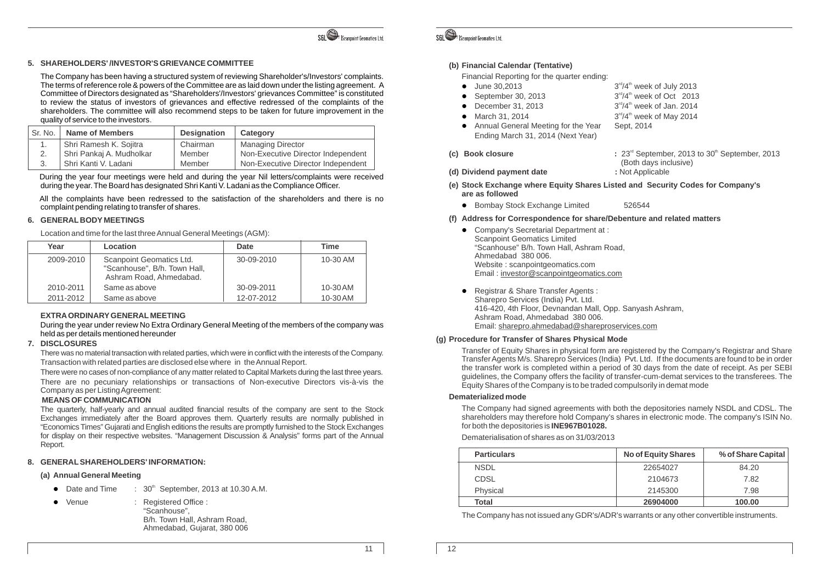

# $\text{SGL} \bigoplus_{\text{S} \text{cannoint} \text{ Fermatics}}$

**(b) Financial Calendar (Tentative)**

 $\bullet$  June 30.2013  $\bullet$  September 30, 2013  $\bullet$  December 31, 2013  $\bullet$  March 31, 2014

Financial Reporting for the quarter ending:

Ending March 31, 2014 (Next Year)

● Company's Secretarial Department at : Scanpoint Geomatics Limited

Website : scanpointgeomatics.com Email : investor@scanpointgeomatics.com

● Registrar & Share Transfer Agents : Sharepro Services (India) Pvt. Ltd.

● Annual General Meeting for the Year Sept, 2014

**(d) Dividend payment date :** Not Applicable

● Bombay Stock Exchange Limited 526544

"Scanhouse" B/h. Town Hall, Ashram Road,

#### **5. SHAREHOLDERS' /INVESTOR'S GRIEVANCE COMMITTEE**

. quality of service to the investors The Company has been having a structured system of reviewing Shareholder's/Investors' complaints. The terms of reference role & powers of the Committee are as laid down under the listing agreement. A Committee of Directors designated as "Shareholders'/Investors' grievances Committee" is constituted to review the status of investors of grievances and effective redressed of the complaints of the shareholders. The committee will also recommend steps to be taken for future improvement in the

| Sr. No. | <b>Name of Members</b>   | <b>Designation</b> | Category                           |
|---------|--------------------------|--------------------|------------------------------------|
|         | Shri Ramesh K. Sojitra   | Chairman           | <b>Managing Director</b>           |
| 2.      | Shri Pankaj A. Mudholkar | Member             | Non-Executive Director Independent |
|         | Shri Kanti V. Ladani     | Member             | Non-Executive Director Independent |

During the year four meetings were held and during the year Nil letters/complaints were received during the year. The Board has designated Shri Kanti V. Ladani as the Compliance Officer.

All the complaints have been redressed to the satisfaction of the shareholders and there is no complaint pending relating to transfer of shares.

#### **6. GENERAL BODY MEETINGS**

Location and time for the last three Annual General Meetings (AGM):

| Year      | Location                                                                            | Date       | Time     |
|-----------|-------------------------------------------------------------------------------------|------------|----------|
| 2009-2010 | Scanpoint Geomatics Ltd.<br>"Scanhouse", B/h. Town Hall,<br>Ashram Road, Ahmedabad. | 30-09-2010 | 10-30 AM |
| 2010-2011 | Same as above                                                                       | 30-09-2011 | 10-30 AM |
| 2011-2012 | Same as above                                                                       | 12-07-2012 | 10-30 AM |

#### **EXTRAORDINARYGENERAL MEETING**

During the year under review No Extra Ordinary General Meeting of the members of the company was held as per details mentioned hereunder

#### **7. DISCLOSURES**

There was no material transaction with related parties, which were in conflict with the interests of the Company. Transaction with related parties are disclosed else where in the Annual Report.

There were no cases of non-compliance of any matter related to Capital Markets during the last three years. There are no pecuniary relationships or transactions of Non-executive Directors vis-à-vis the Company as per Listing Agreement:

#### **MEANS OF COMMUNICATION**

The quarterly, half-yearly and annual audited financial results of the company are sent to the Stock Exchanges immediately after the Board approves them. Quarterly results are normally published in "Economics Times" Gujarati and English editions the results are promptly furnished to the Stock Exchanges for display on their respective websites. "Management Discussion & Analysis" forms part of the Annual Report.

#### **8. GENERALSHAREHOLDERS' INFORMATION:**

#### **(a) Annual General Meeting**

- $\therefore$  30<sup>th</sup> September, 2013 at 10.30 A.M. • Date and Time
- Venue
- : Registered Office : "Scanhouse",
	- B/h. Town Hall, Ashram Road, Ahmedabad, Gujarat, 380 006

Ahmedabad 380 006.

**are as followed**

Ashram Road, Ahmedabad 380 006. Email: sharepro.ahmedabad@shareproservices.com

416-420, 4th Floor, Devnandan Mall, Opp. Sanyash Ashram,

#### **(g) Procedure for Transfer of Shares Physical Mode**

Transfer of Equity Shares in physical form are registered by the Company's Registrar and Share Transfer Agents M/s. Sharepro Services (India) Pvt. Ltd. If the documents are found to be in order the transfer work is completed within a period of 30 days from the date of receipt. As per SEBI guidelines, the Company offers the facility of transfer-cum-demat services to the transferees. The Equity Shares of the Company is to be traded compulsorily in demat mode

 $3<sup>rd</sup>/4<sup>th</sup>$  week of July 2013  $3<sup>rd</sup>/4<sup>th</sup>$  week of Oct 2013  $3<sup>rd</sup>/4<sup>th</sup>$  week of Jan. 2014  $3<sup>rd</sup>/4<sup>th</sup>$  week of May 2014

(Both days inclusive)

**(c) Book closure : 23<sup>d</sup> September, 2013 to 30<sup>th</sup> September, 2013** 

**(e) Stock Exchange where Equity Shares Listed and Security Codes for Company's** 

**(f) Address for Correspondence for share/Debenture and related matters**

#### **Dematerialized mode**

The Company had signed agreements with both the depositories namely NSDL and CDSL. The shareholders may therefore hold Company's shares in electronic mode. The company's ISIN No. for both the depositories is **INE967B01028.** 

Dematerialisation of shares as on 31/03/2013

| <b>Particulars</b> | <b>No of Equity Shares</b> | % of Share Capital |
|--------------------|----------------------------|--------------------|
| <b>NSDL</b>        | 22654027                   | 84.20              |
| CDSL               | 2104673                    | 7.82               |
| Physical           | 2145300                    | 7.98               |
| Total              | 26904000                   | 100.00             |

The Company has not issued any GDR's/ADR's warrants or any other convertible instruments.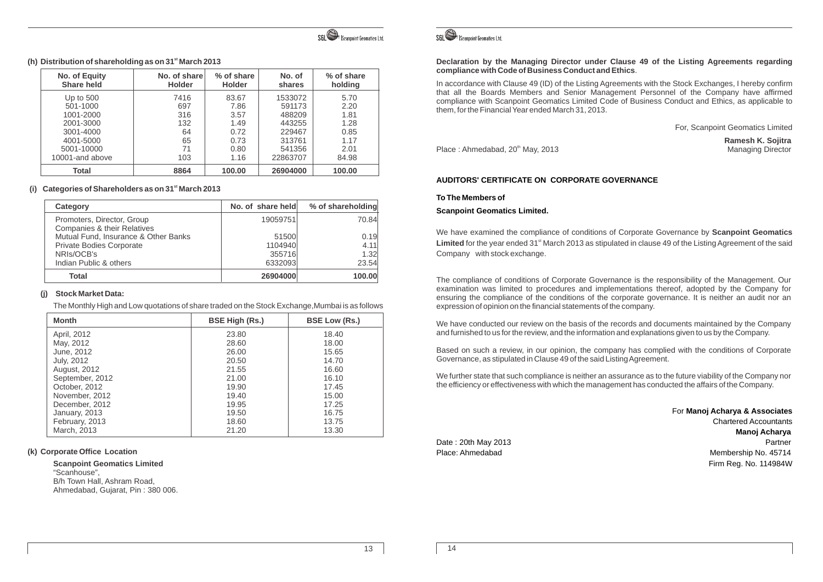

#### **st (h) Distribution of shareholding as on 31 March 2013**

| No. of Equity<br><b>Share held</b> | No. of share<br><b>Holder</b> | % of share<br><b>Holder</b> | No. of<br>shares | % of share<br>holding |
|------------------------------------|-------------------------------|-----------------------------|------------------|-----------------------|
| Up to $500$                        | 7416                          | 83.67                       | 1533072          | 5.70                  |
| 501-1000                           | 697                           | 7.86                        | 591173           | 2.20                  |
| 1001-2000                          | 316                           | 3.57                        | 488209           | 1.81                  |
| 2001-3000                          | 132                           | 1.49                        | 443255           | 1.28                  |
| 3001-4000                          | 64                            | 0.72                        | 229467           | 0.85                  |
| 4001-5000                          | 65                            | 0.73                        | 313761           | 1.17                  |
| 5001-10000                         | 71                            | 0.80                        | 541356           | 2.01                  |
| 10001-and above                    | 103                           | 1.16                        | 22863707         | 84.98                 |
| Total                              | 8864                          | 100.00                      | 26904000         | 100.00                |

#### **st (i) Categories of Shareholders as on 31 March 2013**

| Category                                                  | No. of share held | % of shareholding |
|-----------------------------------------------------------|-------------------|-------------------|
| Promoters, Director, Group<br>Companies & their Relatives | 19059751          | 70.84             |
| Mutual Fund, Insurance & Other Banks                      | 51500             | 0.19              |
| Private Bodies Corporate                                  | 1104940           | 4.11              |
| NRIs/OCB's                                                | 355716            | 1.32              |
| Indian Public & others                                    | 6332093           | 23.54             |
| <b>Total</b>                                              | 26904000          | 100.00            |

#### **(j) Stock Market Data:**

The Monthly High and Low quotations of share traded on the Stock Exchange,Mumbai is as follows

| <b>Month</b>    | <b>BSE High (Rs.)</b> | <b>BSE Low (Rs.)</b> |
|-----------------|-----------------------|----------------------|
| April, 2012     | 23.80                 | 18.40                |
| May, 2012       | 28.60                 | 18.00                |
| June, 2012      | 26.00                 | 15.65                |
| July, 2012      | 20.50                 | 14.70                |
| August, 2012    | 21.55                 | 16.60                |
| September, 2012 | 21.00                 | 16.10                |
| October, 2012   | 19.90                 | 17.45                |
| November, 2012  | 19.40                 | 15.00                |
| December, 2012  | 19.95                 | 17.25                |
| January, 2013   | 19.50                 | 16.75                |
| February, 2013  | 18.60                 | 13.75                |
| March, 2013     | 21.20                 | 13.30                |

#### **(k) Corporate Office Location**

**Scanpoint Geomatics Limited** "Scanhouse", B/h Town Hall, Ashram Road, Ahmedabad, Gujarat, Pin : 380 006.



#### **Declaration by the Managing Director under Clause 49 of the Listing Agreements regarding compliance with Code of Business Conduct and Ethics**.

In accordance with Clause 49 (ID) of the Listing Agreements with the Stock Exchanges, I hereby confirm that all the Boards Members and Senior Management Personnel of the Company have affirmed compliance with Scanpoint Geomatics Limited Code of Business Conduct and Ethics, as applicable to them, for the Financial Year ended March 31, 2013.

For, Scanpoint Geomatics Limited

Place : Ahmedabad, 20<sup>th</sup> May, 2013

**Ramesh K. Sojitra**

#### **AUDITORS' CERTIFICATE ON CORPORATE GOVERNANCE**

#### **To The Members of**

#### **Scanpoint Geomatics Limited.**

We have examined the compliance of conditions of Corporate Governance by **Scanpoint Geomatics**  Limited for the year ended 31<sup>st</sup> March 2013 as stipulated in clause 49 of the Listing Agreement of the said Company with stock exchange.

The compliance of conditions of Corporate Governance is the responsibility of the Management. Our examination was limited to procedures and implementations thereof, adopted by the Company for ensuring the compliance of the conditions of the corporate governance. It is neither an audit nor an expression of opinion on the financial statements of the company.

We have conducted our review on the basis of the records and documents maintained by the Company and furnished to us for the review, and the information and explanations given to us by the Company.

Based on such a review, in our opinion, the company has complied with the conditions of Corporate Governance, as stipulated in Clause 49 of the said Listing Agreement.

We further state that such compliance is neither an assurance as to the future viability of the Company nor the efficiency or effectiveness with which the management has conducted the affairs of the Company.

## For **Manoj Acharya & Associates** Chartered Accountants  **Manoj Acharya**

Date : 20th May 2013 **Partner** Place: Ahmedabad Membership No. 45714 Firm Reg. No. 114984W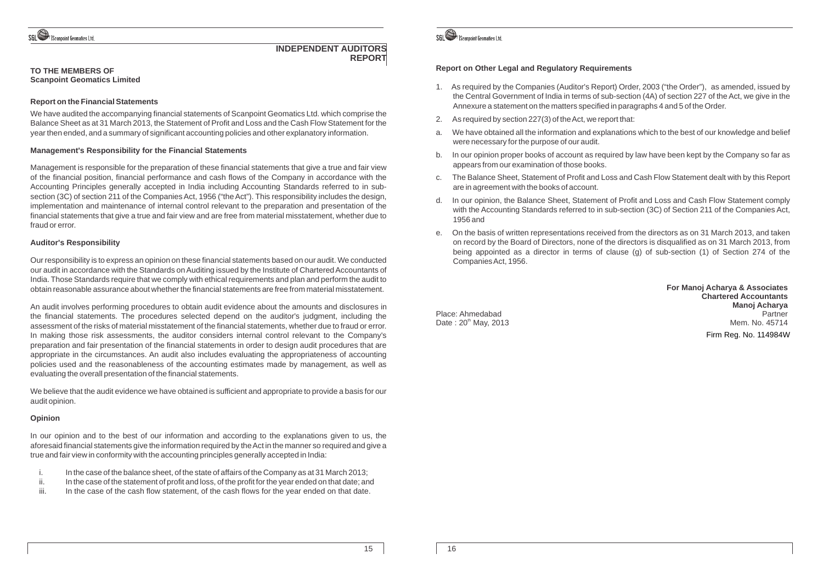# **INDEPENDENT AUDITORS REPORT**

#### **TO THE MEMBERS OF Scanpoint Geomatics Limited**

#### **Report on the Financial Statements**

We have audited the accompanying financial statements of Scanpoint Geomatics Ltd. which comprise the Balance Sheet as at 31 March 2013, the Statement of Profit and Loss and the Cash Flow Statement for the year then ended, and a summary of significant accounting policies and other explanatory information.

#### **Management's Responsibility for the Financial Statements**

Management is responsible for the preparation of these financial statements that give a true and fair view of the financial position, financial performance and cash flows of the Company in accordance with the Accounting Principles generally accepted in India including Accounting Standards referred to in subsection (3C) of section 211 of the Companies Act, 1956 ("the Act"). This responsibility includes the design, implementation and maintenance of internal control relevant to the preparation and presentation of the financial statements that give a true and fair view and are free from material misstatement, whether due to fraud or error.

#### **Auditor's Responsibility**

Our responsibility is to express an opinion on these financial statements based on our audit. We conducted our audit in accordance with the Standards on Auditing issued by the Institute of Chartered Accountants of India. Those Standards require that we comply with ethical requirements and plan and perform the audit to obtain reasonable assurance about whether the financial statements are free from material misstatement.

An audit involves performing procedures to obtain audit evidence about the amounts and disclosures in the financial statements. The procedures selected depend on the auditor's judgment, including the assessment of the risks of material misstatement of the financial statements, whether due to fraud or error. In making those risk assessments, the auditor considers internal control relevant to the Company's preparation and fair presentation of the financial statements in order to design audit procedures that are appropriate in the circumstances. An audit also includes evaluating the appropriateness of accounting policies used and the reasonableness of the accounting estimates made by management, as well as evaluating the overall presentation of the financial statements.

We believe that the audit evidence we have obtained is sufficient and appropriate to provide a basis for our audit opinion.

#### **Opinion**

In our opinion and to the best of our information and according to the explanations given to us, the aforesaid financial statements give the information required by the Act in the manner so required and give a true and fair view in conformity with the accounting principles generally accepted in India:

- i. In the case of the balance sheet, of the state of affairs of the Company as at 31 March 2013;
- ii. In the case of the statement of profit and loss, of the profit for the year ended on that date; and
- In the case of the cash flow statement, of the cash flows for the year ended on that date.



#### **Report on Other Legal and Regulatory Requirements**

- 1. As required by the Companies (Auditor's Report) Order, 2003 ("the Order"), as amended, issued by the Central Government of India in terms of sub-section (4A) of section 227 of the Act, we give in the Annexure a statement on the matters specified in paragraphs 4 and 5 of the Order.
- 2. As required by section 227(3) of the Act, we report that:
- a. We have obtained all the information and explanations which to the best of our knowledge and belief were necessary for the purpose of our audit.
- b. In our opinion proper books of account as required by law have been kept by the Company so far as appears from our examination of those books.
- c. The Balance Sheet, Statement of Profit and Loss and Cash Flow Statement dealt with by this Report are in agreement with the books of account.
- d. In our opinion, the Balance Sheet, Statement of Profit and Loss and Cash Flow Statement comply with the Accounting Standards referred to in sub-section (3C) of Section 211 of the Companies Act, 1956 and
- e. On the basis of written representations received from the directors as on 31 March 2013, and taken on record by the Board of Directors, none of the directors is disqualified as on 31 March 2013, from being appointed as a director in terms of clause (g) of sub-section (1) of Section 274 of the Companies Act, 1956.

Date :  $20<sup>th</sup>$  May, 2013

**For Manoj Acharya & Associates Chartered Accountants Manoj Acharya** Place: Ahmedabad Partner (1999) Place: Ahmedabad Partner (1999) Place: Ahmedabad Partner (1999) Place: 20<sup>th</sup> Nov Firm Reg. No. 114984W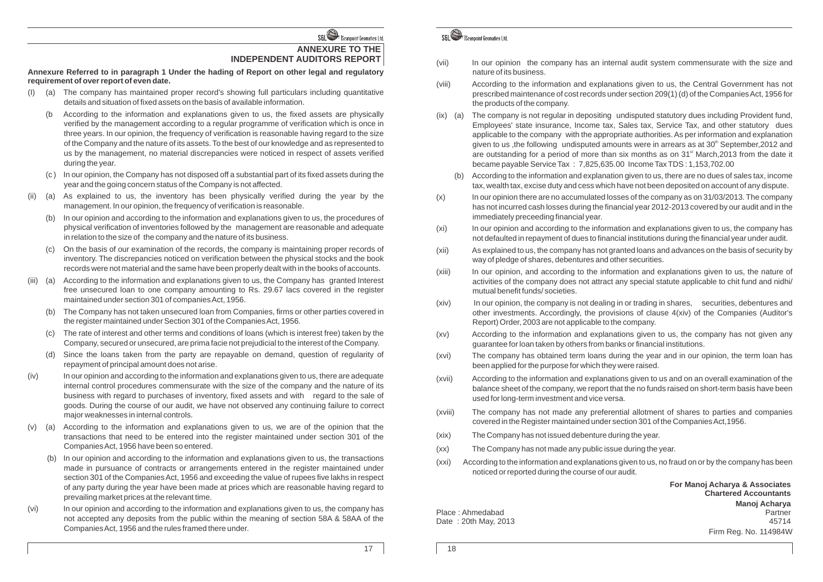# **SGI Seannaint Geomatics Ltd.**

# **ANNEXURE TO THE<br>INDEPENDENT AUDITORS REPORT**

#### **Annexure Referred to in paragraph 1 Under the hading of Report on other legal and regulatory requirement of over report of even date.**

- (I) (a) The company has maintained proper record's showing full particulars including quantitative details and situation of fixed assets on the basis of available information.
	- (b According to the information and explanations given to us, the fixed assets are physically verified by the management according to a regular programme of verification which is once in three years. In our opinion, the frequency of verification is reasonable having regard to the size of the Company and the nature of its assets. To the best of our knowledge and as represented to us by the management, no material discrepancies were noticed in respect of assets verified during the year.
	- (c ) In our opinion, the Company has not disposed off a substantial part of its fixed assets during the year and the going concern status of the Company is not affected.
- (ii) (a) As explained to us, the inventory has been physically verified during the year by the management. In our opinion, the frequency of verification is reasonable.
	- (b) In our opinion and according to the information and explanations given to us, the procedures of physical verification of inventories followed by the management are reasonable and adequate in relation to the size of the company and the nature of its business.
	- (c) On the basis of our examination of the records, the company is maintaining proper records of inventory. The discrepancies noticed on verification between the physical stocks and the book records were not material and the same have been properly dealt with in the books of accounts.
- (iii) (a) According to the information and explanations given to us, the Company has granted Interest free unsecured loan to one company amounting to Rs. 29.67 lacs covered in the register maintained under section 301 of companies Act, 1956.
	- (b) The Company has not taken unsecured loan from Companies, firms or other parties covered in the register maintained under Section 301 of the Companies Act, 1956.
	- (c) The rate of interest and other terms and conditions of loans (which is interest free) taken by the Company, secured or unsecured, are prima facie not prejudicial to the interest of the Company.
	- (d) Since the loans taken from the party are repayable on demand, question of regularity of repayment of principal amount does not arise.
- (iv) In our opinion and according to the information and explanations given to us, there are adequate internal control procedures commensurate with the size of the company and the nature of its business with regard to purchases of inventory, fixed assets and with regard to the sale of goods. During the course of our audit, we have not observed any continuing failure to correct major weaknesses in internal controls.
- (v) (a) According to the information and explanations given to us, we are of the opinion that the transactions that need to be entered into the register maintained under section 301 of the Companies Act, 1956 have been so entered.
	- (b) In our opinion and according to the information and explanations given to us, the transactions made in pursuance of contracts or arrangements entered in the register maintained under section 301 of the Companies Act, 1956 and exceeding the value of rupees five lakhs in respect of any party during the year have been made at prices which are reasonable having regard to prevailing market prices at the relevant time.
- (vi) In our opinion and according to the information and explanations given to us, the company has not accepted any deposits from the public within the meaning of section 58A & 58AA of the Companies Act, 1956 and the rules framed there under.



- (vii) In our opinion the company has an internal audit system commensurate with the size and nature of its business.
- (viii) According to the information and explanations given to us, the Central Government has not prescribed maintenance of cost records under section 209(1) (d) of the Companies Act, 1956 for the products of the company.
- (ix) (a) The company is not regular in depositing undisputed statutory dues including Provident fund, Employees' state insurance, Income tax, Sales tax, Service Tax, and other statutory dues applicable to the company with the appropriate authorities. As per information and explanation given to us ,the following undisputed amounts were in arrears as at  $30<sup>th</sup>$  September, 2012 and are outstanding for a period of more than six months as on  $31<sup>st</sup>$  March, 2013 from the date it became payable Service Tax : 7,825,635.00 Income Tax TDS : 1,153,702.00
	- (b) According to the information and explanation given to us, there are no dues of sales tax, income tax, wealth tax, excise duty and cess which have not been deposited on account of any dispute.
- (x) In our opinion there are no accumulated losses of the company as on 31/03/2013. The company has not incurred cash losses during the financial year 2012-2013 covered by our audit and in the immediately preceeding financial year.
- (xi) In our opinion and according to the information and explanations given to us, the company has not defaulted in repayment of dues to financial institutions during the financial year under audit.
- (xii) As explained to us, the company has not granted loans and advances on the basis of security by way of pledge of shares, debentures and other securities.
- (xiii) In our opinion, and according to the information and explanations given to us, the nature of activities of the company does not attract any special statute applicable to chit fund and nidhi/ mutual benefit funds/ societies.
- (xiv) In our opinion, the company is not dealing in or trading in shares, securities, debentures and other investments. Accordingly, the provisions of clause 4(xiv) of the Companies (Auditor's Report) Order, 2003 are not applicable to the company.
- (xv) According to the information and explanations given to us, the company has not given any guarantee for loan taken by others from banks or financial institutions.
- (xvi) The company has obtained term loans during the year and in our opinion, the term loan has been applied for the purpose for which they were raised.
- (xvii) According to the information and explanations given to us and on an overall examination of the balance sheet of the company, we report that the no funds raised on short-term basis have been used for long-term investment and vice versa.
- (xviii) The company has not made any preferential allotment of shares to parties and companies covered in the Register maintained under section 301 of the Companies Act,1956.
- (xix) The Company has not issued debenture during the year.
- (xx) The Company has not made any public issue during the year.
- (xxi) According to the information and explanations given to us, no fraud on or by the company has been noticed or reported during the course of our audit.

**For Manoj Acharya & Associates Chartered Accountants Manoj Acharya** Place : Ahmedabad Partner Firm Reg. No. 114984W

Date: 20th May, 2013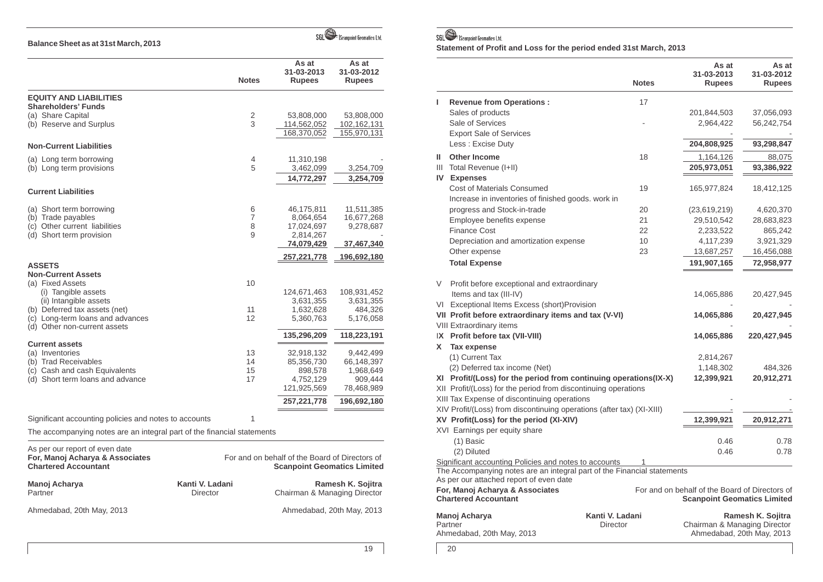## **Balance Sheet as at 31st March, 2013**

SGL<sup>S</sup> Scanpoint Geomatics Ltd.

|                                                                         | <b>Notes</b>   | As at<br>31-03-2013<br><b>Rupees</b> | As at<br>31-03-2012<br><b>Rupees</b> |
|-------------------------------------------------------------------------|----------------|--------------------------------------|--------------------------------------|
| <b>EQUITY AND LIABILITIES</b>                                           |                |                                      |                                      |
| <b>Shareholders' Funds</b>                                              |                |                                      |                                      |
| (a) Share Capital                                                       | 2<br>3         | 53,808,000                           | 53,808,000                           |
| (b) Reserve and Surplus                                                 |                | 114,562,052<br>168,370,052           | 102,162,131<br>155,970,131           |
|                                                                         |                |                                      |                                      |
| <b>Non-Current Liabilities</b>                                          |                |                                      |                                      |
| (a) Long term borrowing                                                 | 4              | 11,310,198                           |                                      |
| (b) Long term provisions                                                | 5              | 3,462,099                            | 3,254,709                            |
|                                                                         |                | 14,772,297                           | 3,254,709                            |
| <b>Current Liabilities</b>                                              |                |                                      |                                      |
| (a) Short term borrowing                                                | 6              | 46,175,811                           | 11,511,385                           |
| (b) Trade payables                                                      | $\overline{7}$ | 8,064,654                            | 16,677,268                           |
| (c) Other current liabilities                                           | 8              | 17,024,697                           | 9,278,687                            |
| (d) Short term provision                                                | 9              | 2,814,267                            |                                      |
|                                                                         |                | 74,079,429                           | 37,467,340                           |
|                                                                         |                | 257, 221, 778                        | 196,692,180                          |
| <b>ASSETS</b>                                                           |                |                                      |                                      |
| <b>Non-Current Assets</b>                                               |                |                                      |                                      |
| (a) Fixed Assets<br>(i) Tangible assets                                 | 10             | 124,671,463                          | 108,931,452                          |
| (ii) Intangible assets                                                  |                | 3,631,355                            | 3,631,355                            |
| (b) Deferred tax assets (net)                                           | 11             | 1,632,628                            | 484,326                              |
| (c) Long-term loans and advances                                        | 12             | 5,360,763                            | 5,176,058                            |
| (d) Other non-current assets                                            |                |                                      |                                      |
| <b>Current assets</b>                                                   |                | 135,296,209                          | 118,223,191                          |
| (a) Inventories                                                         | 13             | 32,918,132                           | 9,442,499                            |
| (b) Trad Receivables                                                    | 14             | 85,356,730                           | 66,148,397                           |
| (c) Cash and cash Equivalents                                           | 15             | 898,578                              | 1,968,649                            |
| (d) Short term loans and advance                                        | 17             | 4,752,129                            | 909,444                              |
|                                                                         |                | 121,925,569                          | 78,468,989                           |
|                                                                         |                | 257,221,778                          | 196,692,180                          |
| Significant accounting policies and notes to accounts                   | 1              |                                      |                                      |
| The accompanying notes are an integral part of the financial statements |                |                                      |                                      |

| As per our report of even date<br>For, Manoj Acharya & Associates<br><b>Chartered Accountant</b> |                             | For and on behalf of the Board of Directors of<br><b>Scanpoint Geomatics Limited</b> |
|--------------------------------------------------------------------------------------------------|-----------------------------|--------------------------------------------------------------------------------------|
| Manoj Acharya<br>Partner                                                                         | Kanti V. Ladani<br>Director | Ramesh K. Sojitra<br>Chairman & Managing Director                                    |
| Ahmedabad, 20th May, 2013                                                                        |                             | Ahmedabad, 20th May, 2013                                                            |

# **SGL Seanpoint Geomatics Ltd.**

**Statement of Profit and Loss for the period ended 31st March, 2013**

|    |                                                                                                                    | <b>Notes</b>    | As at<br>31-03-2013<br><b>Rupees</b>           | As at<br>31-03-2012<br><b>Rupees</b> |
|----|--------------------------------------------------------------------------------------------------------------------|-----------------|------------------------------------------------|--------------------------------------|
| г  | <b>Revenue from Operations:</b>                                                                                    | 17              |                                                |                                      |
|    | Sales of products                                                                                                  |                 | 201,844,503                                    | 37,056,093                           |
|    | Sale of Services                                                                                                   |                 | 2,964,422                                      | 56,242,754                           |
|    | <b>Export Sale of Services</b>                                                                                     |                 |                                                |                                      |
|    | Less: Excise Duty                                                                                                  |                 | 204,808,925                                    | 93,298,847                           |
| Ш. | <b>Other Income</b>                                                                                                | 18              | 1,164,126                                      | 88,075                               |
|    | III Total Revenue (I+II)                                                                                           |                 | 205,973,051                                    | 93,386,922                           |
|    | <b>IV Expenses</b>                                                                                                 |                 |                                                |                                      |
|    | <b>Cost of Materials Consumed</b>                                                                                  | 19              | 165,977,824                                    | 18,412,125                           |
|    | Increase in inventories of finished goods. work in                                                                 |                 |                                                |                                      |
|    | progress and Stock-in-trade                                                                                        | 20              | (23,619,219)                                   | 4,620,370                            |
|    | Employee benefits expense                                                                                          | 21              | 29,510,542                                     | 28,683,823                           |
|    | <b>Finance Cost</b>                                                                                                | 22              | 2,233,522                                      | 865,242                              |
|    | Depreciation and amortization expense                                                                              | 10              | 4,117,239                                      | 3,921,329                            |
|    | Other expense                                                                                                      | 23              | 13,687,257                                     | 16,456,088                           |
|    | <b>Total Expense</b>                                                                                               |                 | 191,907,165                                    | 72,958,977                           |
|    | V Profit before exceptional and extraordinary                                                                      |                 |                                                |                                      |
|    | Items and tax (III-IV)                                                                                             |                 | 14,065,886                                     | 20,427,945                           |
|    | VI Exceptional Items Excess (short) Provision                                                                      |                 |                                                |                                      |
|    | VII Profit before extraordinary items and tax (V-VI)                                                               |                 | 14,065,886                                     | 20,427,945                           |
|    | <b>VIII Extraordinary items</b>                                                                                    |                 |                                                |                                      |
|    | IX Profit before tax (VII-VIII)                                                                                    |                 | 14,065,886                                     | 220,427,945                          |
|    | X Tax expense                                                                                                      |                 |                                                |                                      |
|    | (1) Current Tax                                                                                                    |                 | 2,814,267                                      |                                      |
|    | (2) Deferred tax income (Net)                                                                                      |                 | 1,148,302                                      | 484,326                              |
|    | XI Profit/(Loss) for the period from continuing operations(IX-X)                                                   |                 | 12,399,921                                     | 20,912,271                           |
|    | XII Profit/(Loss) for the period from discontinuing operations                                                     |                 |                                                |                                      |
|    | XIII Tax Expense of discontinuing operations                                                                       |                 |                                                |                                      |
|    | XIV Profit/(Loss) from discontinuing operations (after tax) (XI-XIII)                                              |                 |                                                |                                      |
|    | XV Profit(Loss) for the period (XI-XIV)                                                                            |                 | 12,399,921                                     | 20,912,271                           |
|    | XVI Earnings per equity share                                                                                      |                 |                                                |                                      |
|    | $(1)$ Basic                                                                                                        |                 | 0.46                                           | 0.78                                 |
|    | (2) Diluted                                                                                                        |                 | 0.46                                           | 0.78                                 |
|    | Significant accounting Policies and notes to accounts                                                              |                 |                                                |                                      |
|    | The Accompanying notes are an integral part of the Financial statements<br>As per our attached report of even date |                 |                                                |                                      |
|    | For, Manoj Acharya & Associates                                                                                    |                 | For and on behalf of the Board of Directors of |                                      |
|    | <b>Chartered Accountant</b>                                                                                        |                 | <b>Scanpoint Geomatics Limited</b>             |                                      |
|    | Manoj Acharya                                                                                                      | Kanti V. Ladani |                                                | Ramesh K. Sojitra                    |
|    | Partner                                                                                                            | Director        | Chairman & Managing Director                   |                                      |
|    | Ahmedabad, 20th May, 2013                                                                                          |                 |                                                | Ahmedabad, 20th May, 2013            |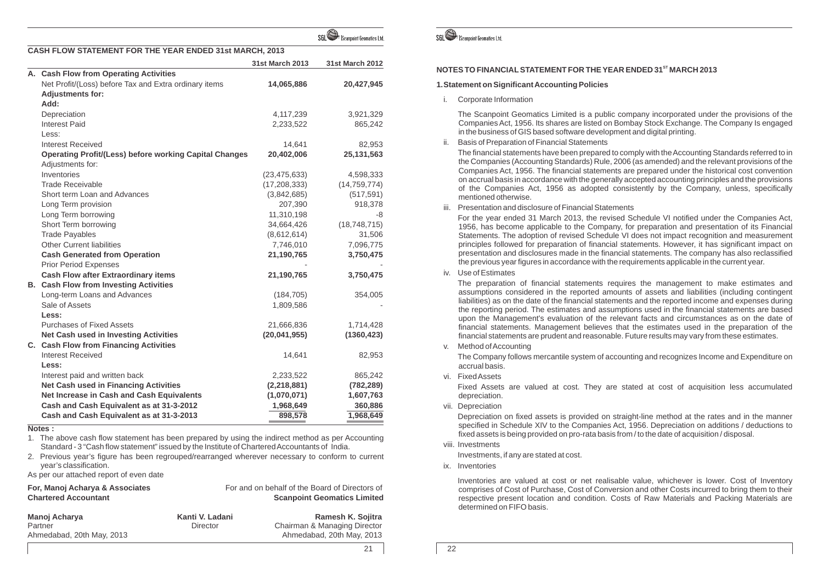#### **CASH FLOW STATEMENT FOR THE YEAR ENDED 31st MARCH, 2013**

|                                                               | <b>31st March 2013</b> | 31st March 2012 |
|---------------------------------------------------------------|------------------------|-----------------|
| A. Cash Flow from Operating Activities                        |                        |                 |
| Net Profit/(Loss) before Tax and Extra ordinary items         | 14,065,886             | 20,427,945      |
| <b>Adjustments for:</b>                                       |                        |                 |
| Add:                                                          |                        |                 |
| Depreciation                                                  | 4,117,239              | 3,921,329       |
| <b>Interest Paid</b>                                          | 2,233,522              | 865,242         |
| Less:                                                         |                        |                 |
| Interest Received                                             | 14,641                 | 82,953          |
| <b>Operating Profit/(Less) before working Capital Changes</b> | 20,402,006             | 25,131,563      |
| Adjustments for:                                              |                        |                 |
| Inventories                                                   | (23, 475, 633)         | 4,598,333       |
| <b>Trade Receivable</b>                                       | (17, 208, 333)         | (14, 759, 774)  |
| Short term Loan and Advances                                  | (3,842,685)            | (517, 591)      |
| Long Term provision                                           | 207,390                | 918,378         |
| Long Term borrowing                                           | 11,310,198             | -8              |
| Short Term borrowing                                          | 34,664,426             | (18, 748, 715)  |
| <b>Trade Payables</b>                                         | (8,612,614)            | 31,506          |
| <b>Other Current liabilities</b>                              | 7,746,010              | 7,096,775       |
| <b>Cash Generated from Operation</b>                          | 21,190,765             | 3,750,475       |
| <b>Prior Period Expenses</b>                                  |                        |                 |
| <b>Cash Flow after Extraordinary items</b>                    | 21,190,765             | 3,750,475       |
| <b>B.</b> Cash Flow from Investing Activities                 |                        |                 |
| Long-term Loans and Advances                                  | (184, 705)             | 354,005         |
| Sale of Assets                                                | 1,809,586              |                 |
| Less:                                                         |                        |                 |
| Purchases of Fixed Assets                                     | 21,666,836             | 1,714,428       |
| <b>Net Cash used in Investing Activities</b>                  | (20,041,955)           | (1360, 423)     |
| C. Cash Flow from Financing Activities                        |                        |                 |
| Interest Received                                             | 14,641                 | 82,953          |
| Less:                                                         |                        |                 |
| Interest paid and written back                                | 2,233,522              | 865,242         |
| <b>Net Cash used in Financing Activities</b>                  | (2, 218, 881)          | (782, 289)      |
| Net Increase in Cash and Cash Equivalents                     | (1,070,071)            | 1,607,763       |
| Cash and Cash Equivalent as at 31-3-2012                      | 1,968,649              | 360,886         |
| Cash and Cash Equivalent as at 31-3-2013                      | 898,578                | 1,968,649       |

**Notes :**

1. The above cash flow statement has been prepared by using the indirect method as per Accounting Standard - 3 "Cash flow statement" issued by the Institute of Chartered Accountants of India.

2. Previous year's figure has been regrouped/rearranged wherever necessary to conform to current year's classification.

As per our attached report of even date

**For, Manoj Acharya & Associates** For and on behalf of the Board of Directors of

**Chartered Accountant Scanpoint Geomatics Limited**

| Manoj Acharya             | Kanti V. Ladani |
|---------------------------|-----------------|
| Partner                   | Director        |
| Ahmedabad, 20th May, 2013 |                 |

**Manoj Acharya Kanti V. Ladani Ramesh K. Sojitra** Chairman & Managing Director Ahmedabad, 20th May, 2013



#### **NOTES TO FINANCIAL STATEMENT FOR THE YEAR ENDED 31<sup>8T</sup> MARCH 2013**

#### **1.Statement on Significant Accounting Policies**

i. Corporate Information

The Scanpoint Geomatics Limited is a public company incorporated under the provisions of the Companies Act, 1956. Its shares are listed on Bombay Stock Exchange. The Company Is engaged in the business of GIS based software development and digital printing.

ii. Basis of Preparation of Financial Statements

The financial statements have been prepared to comply with the Accounting Standards referred to in the Companies (Accounting Standards) Rule, 2006 (as amended) and the relevant provisions of the Companies Act, 1956. The financial statements are prepared under the historical cost convention on accrual basis in accordance with the generally accepted accounting principles and the provisions of the Companies Act, 1956 as adopted consistently by the Company, unless, specifically mentioned otherwise.

iii. Presentation and disclosure of Financial Statements

For the year ended 31 March 2013, the revised Schedule VI notified under the Companies Act, 1956, has become applicable to the Company, for preparation and presentation of its Financial Statements. The adoption of revised Schedule VI does not impact recognition and measurement principles followed for preparation of financial statements. However, it has significant impact on presentation and disclosures made in the financial statements. The company has also reclassified the previous year figures in accordance with the requirements applicable in the current year.

iv. Use of Estimates

The preparation of financial statements requires the management to make estimates and assumptions considered in the reported amounts of assets and liabilities (including contingent liabilities) as on the date of the financial statements and the reported income and expenses during the reporting period. The estimates and assumptions used in the financial statements are based upon the Management's evaluation of the relevant facts and circumstances as on the date of financial statements. Management believes that the estimates used in the preparation of the financial statements are prudent and reasonable. Future results may vary from these estimates.

v. Method of Accounting

The Company follows mercantile system of accounting and recognizes Income and Expenditure on accrual basis.

vi. Fixed Assets

Fixed Assets are valued at cost. They are stated at cost of acquisition less accumulated depreciation.

vii. Depreciation

Depreciation on fixed assets is provided on straight-line method at the rates and in the manner specified in Schedule XIV to the Companies Act, 1956. Depreciation on additions / deductions to fixed assets is being provided on pro-rata basis from / to the date of acquisition / disposal.

viii. Investments

Investments, if any are stated at cost.

ix. Inventories

Inventories are valued at cost or net realisable value, whichever is lower. Cost of Inventory comprises of Cost of Purchase, Cost of Conversion and other Costs incurred to bring them to their respective present location and condition. Costs of Raw Materials and Packing Materials are determined on FIFO basis.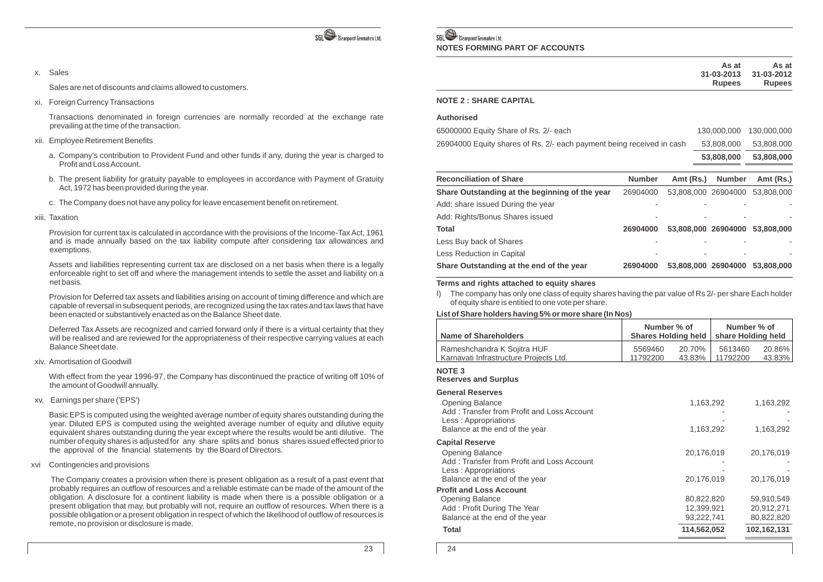SGL<sup>S</sup> Scanpoint Geomatics Ltd.

# $\text{SGL} \bigoplus_{\text{S} \text{C} \text{S} \text{C} \text{S} \text{C} \text{S} \text{C} \text{C} \text{S} \text{C} \text{C}}$

#### **NOTES FORMING PART OF ACCOUNTS**

|                                                                       |               |           | As at<br>31-03-2013<br><b>Rupees</b> | As at<br>31-03-2012<br>Rupees |
|-----------------------------------------------------------------------|---------------|-----------|--------------------------------------|-------------------------------|
| <b>NOTE 2 : SHARE CAPITAL</b>                                         |               |           |                                      |                               |
| Authorised                                                            |               |           |                                      |                               |
| 65000000 Equity Share of Rs. 2/- each                                 |               |           | 130,000,000                          | 130,000,000                   |
| 26904000 Equity shares of Rs. 2/- each payment being received in cash |               |           | 53,808,000                           | 53,808,000                    |
|                                                                       |               |           | 53,808,000                           | 53,808,000                    |
| <b>Reconciliation of Share</b>                                        | <b>Number</b> | Amt (Rs.) | <b>Number</b>                        | Amt (Rs.)                     |
| Share Outstanding at the beginning of the year                        | 26904000      |           | 53,808,000 26904000                  | 53,808,000                    |
| Add: share issued During the year                                     |               |           |                                      |                               |
| Add: Rights/Bonus Shares issued                                       |               |           |                                      |                               |
| <b>Total</b>                                                          | 26904000      |           | 53,808,000 26904000                  | 53,808,000                    |
| Less Buy back of Shares                                               |               |           |                                      |                               |
| Less Reduction in Capital                                             |               |           |                                      |                               |
| Share Outstanding at the end of the year                              | 26904000      |           | 53,808,000 26904000                  | 53,808,000                    |

#### **Terms and rights attached to equity shares**

I) The company has only one class of equity shares having the par value of Rs 2/- per share Each holder of equity share is entitied to one vote per share.

#### **List of Share holders having 5% or more share (In Nos)**

| Name of Shareholders                   | Number % of |        | Number % of<br>Shares Holding held   share Holding held |        |
|----------------------------------------|-------------|--------|---------------------------------------------------------|--------|
| Rameshchandra K Sojitra HUF            | 5569460     | 20.70% | 5613460                                                 | 20.86% |
| Karnavati Infrastructure Projects Ltd. | 11792200    | 43.83% | 11792200                                                | 43.83% |

### **NOTE 3**

**Reserves and Surplus**

| <b>General Reserves</b>                                                                      |             |             |
|----------------------------------------------------------------------------------------------|-------------|-------------|
| <b>Opening Balance</b><br>Add: Transfer from Profit and Loss Account<br>Less: Appropriations | 1,163,292   | 1,163,292   |
| Balance at the end of the year                                                               | 1,163,292   | 1,163,292   |
| <b>Capital Reserve</b>                                                                       |             |             |
| <b>Opening Balance</b><br>Add: Transfer from Profit and Loss Account<br>Less: Appropriations | 20,176,019  | 20,176,019  |
| Balance at the end of the year                                                               | 20,176,019  | 20,176,019  |
| <b>Profit and Loss Account</b>                                                               |             |             |
| <b>Opening Balance</b>                                                                       | 80,822,820  | 59,910,549  |
| Add: Profit During The Year                                                                  | 12.399.921  | 20,912,271  |
| Balance at the end of the year                                                               | 93,222,741  | 80,822,820  |
| <b>Total</b>                                                                                 | 114,562,052 | 102,162,131 |
|                                                                                              |             |             |

Sales are net of discounts and claims allowed to customers.

xi. Foreign Currency Transactions

Transactions denominated in foreign currencies are normally recorded at the exchange rate prevailing at the time of the transaction.

- xii. Employee Retirement Benefits
	- a. Company's contribution to Provident Fund and other funds if any, during the year is charged to Profit and Loss Account.
	- b. The present liability for gratuity payable to employees in accordance with Payment of Gratuity Act, 1972 has been provided during the year.
	- c. The Company does not have any policy for leave encasement benefit on retirement.

## xiii. Taxation

Provision for current tax is calculated in accordance with the provisions of the Income-Tax Act, 1961 and is made annually based on the tax liability compute after considering tax allowances and exemptions.

Assets and liabilities representing current tax are disclosed on a net basis when there is a legally enforceable right to set off and where the management intends to settle the asset and liability on a net basis.

Provision for Deferred tax assets and liabilities arising on account of timing difference and which are capable of reversal in subsequent periods, are recognized using the tax rates and tax laws that have been enacted or substantively enacted as on the Balance Sheet date.

Deferred Tax Assets are recognized and carried forward only if there is a virtual certainty that they will be realised and are reviewed for the appropriateness of their respective carrying values at each Balance Sheet date.

xiv. Amortisation of Goodwill

With effect from the year 1996-97, the Company has discontinued the practice of writing off 10% of the amount of Goodwill annually.

xv. Earnings per share ('EPS')

Basic EPS is computed using the weighted average number of equity shares outstanding during the year. Diluted EPS is computed using the weighted average number of equity and dilutive equity equivalent shares outstanding during the year except where the results would be anti dilutive. The number of equity shares is adjusted for any share splits and bonus shares issued effected prior to the approval of the financial statements by the Board of Directors.

xvi Contingencies and provisions

The Company creates a provision when there is present obligation as a result of a past event that probably requires an outflow of resources and a reliable estimate can be made of the amount of the obligation. A disclosure for a continent liability is made when there is a possible obligation or a present obligation that may, but probably will not, require an outflow of resources. When there is a possible obligation or a present obligation in respect of which the likelihood of outflow of resources is remote, no provision or disclosure is made.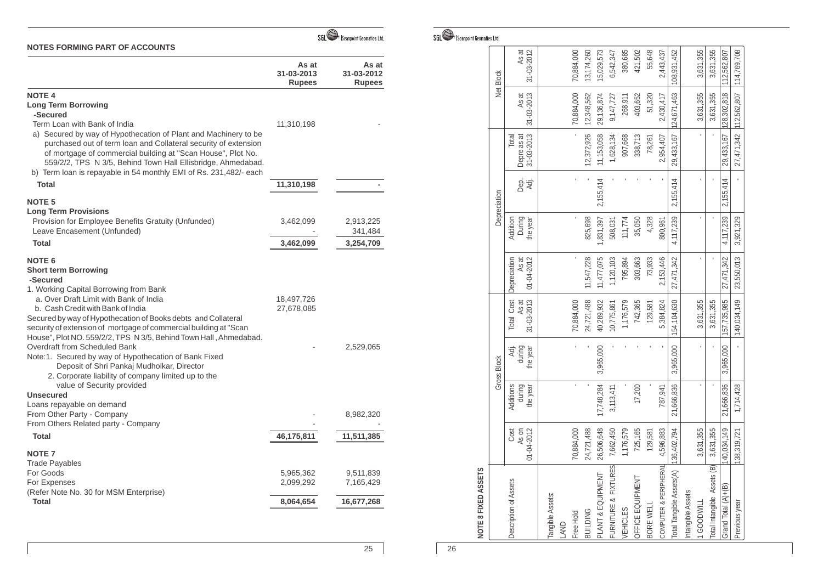# **SGL Seanpoint Geomatics Ltd.**

|                                                                                                                                                                                                                                                                                                                                                                                                                                                                                                                                                                                                                                               | As at<br>31-03-2013<br><b>Rupees</b> | As at<br>31-03-2012<br><b>Rupees</b> |
|-----------------------------------------------------------------------------------------------------------------------------------------------------------------------------------------------------------------------------------------------------------------------------------------------------------------------------------------------------------------------------------------------------------------------------------------------------------------------------------------------------------------------------------------------------------------------------------------------------------------------------------------------|--------------------------------------|--------------------------------------|
| <b>NOTE 4</b>                                                                                                                                                                                                                                                                                                                                                                                                                                                                                                                                                                                                                                 |                                      |                                      |
| <b>Long Term Borrowing</b><br>-Secured<br>Term Loan with Bank of India<br>a) Secured by way of Hypothecation of Plant and Machinery to be<br>purchased out of term loan and Collateral security of extension<br>of mortgage of commercial building at "Scan House", Plot No.                                                                                                                                                                                                                                                                                                                                                                  | 11,310,198                           |                                      |
| 559/2/2, TPS N 3/5, Behind Town Hall Ellisbridge, Ahmedabad.<br>b) Term loan is repayable in 54 monthly EMI of Rs. 231,482/- each                                                                                                                                                                                                                                                                                                                                                                                                                                                                                                             |                                      |                                      |
| <b>Total</b>                                                                                                                                                                                                                                                                                                                                                                                                                                                                                                                                                                                                                                  | 11,310,198                           |                                      |
| <b>NOTE 5</b>                                                                                                                                                                                                                                                                                                                                                                                                                                                                                                                                                                                                                                 |                                      |                                      |
| <b>Long Term Provisions</b><br>Provision for Employee Benefits Gratuity (Unfunded)<br>Leave Encasement (Unfunded)                                                                                                                                                                                                                                                                                                                                                                                                                                                                                                                             | 3,462,099                            | 2,913,225<br>341,484                 |
| <b>Total</b>                                                                                                                                                                                                                                                                                                                                                                                                                                                                                                                                                                                                                                  | 3,462,099                            | 3,254,709                            |
| <b>NOTE 6</b><br><b>Short term Borrowing</b><br>-Secured<br>1. Working Capital Borrowing from Bank<br>a. Over Draft Limit with Bank of India<br>b. Cash Credit with Bank of India<br>Secured by way of Hypothecation of Books debts and Collateral<br>security of extension of mortgage of commercial building at "Scan<br>House", Plot NO. 559/2/2, TPS N 3/5, Behind Town Hall, Ahmedabad.<br>Overdraft from Scheduled Bank<br>Note:1. Secured by way of Hypothecation of Bank Fixed<br>Deposit of Shri Pankaj Mudholkar, Director<br>2. Corporate liability of company limited up to the<br>value of Security provided<br><b>Unsecured</b> | 18,497,726<br>27,678,085             | 2,529,065                            |
| Loans repayable on demand<br>From Other Party - Company<br>From Others Related party - Company                                                                                                                                                                                                                                                                                                                                                                                                                                                                                                                                                |                                      | 8,982,320                            |
| <b>Total</b>                                                                                                                                                                                                                                                                                                                                                                                                                                                                                                                                                                                                                                  | 46,175,811                           | 11,511,385                           |
| <b>NOTE 7</b><br><b>Trade Payables</b><br>For Goods<br>For Expenses<br>(Refer Note No. 30 for MSM Enterprise)<br><b>Total</b>                                                                                                                                                                                                                                                                                                                                                                                                                                                                                                                 | 5,965,362<br>2,099,292<br>8,064,654  | 9,511,839<br>7,165,429<br>16,677,268 |

# $\textsf{SGL} \bigotimes_{|\textsf{Scanpoint}\textsf{ Geomatics}\ \textsf{Ltd}|}$

| NOTE 8 FIXED ASSETS         |                             |                                 |                            |                                   |                                     |                                |              |                                    |                     |                     |  |
|-----------------------------|-----------------------------|---------------------------------|----------------------------|-----------------------------------|-------------------------------------|--------------------------------|--------------|------------------------------------|---------------------|---------------------|--|
|                             |                             |                                 | <b>Gross Block</b>         |                                   |                                     |                                | Depreciation |                                    |                     | Net Block           |  |
| Description of Assets       | Cost<br>As on<br>01-04-2012 | Additions<br>during<br>the year | Adj.<br>during<br>the year | 31-03-2013<br>Total Cost<br>As at | 01-04-2012<br>Depreciation<br>As at | During<br>Addition<br>the year | Dep.<br>Adj. | 31-03-2013<br>Depre as at<br>Total | 31-03-2013<br>As at | As at<br>31-03-2012 |  |
| Tangible Assets:<br>LAND    |                             |                                 |                            |                                   |                                     |                                |              |                                    |                     |                     |  |
| Free Hold                   | 70,884,000                  |                                 |                            | 70,884,000                        |                                     |                                |              |                                    | 70,884,000          | 70,884,000          |  |
| <b>BUILDING</b>             | 24,721,488                  |                                 |                            | 24,721,488                        | 11,547,228                          | 825,698                        |              | 12,372,926                         | 12,348,562          | 13,174,260          |  |
| PLANT & EQUIPMENT           | 26,506,648                  | 17,748,284                      | 3,965,000                  | 40,289,932                        | 11,477,075                          | 831,397                        | 2,155,414    | 11,153,058                         | 29,136,874          | 15,029,573          |  |
| FURNITURE & FIXTURES        | 7,662,450                   | 3,113,411                       |                            | 10,775,861                        | 1,120,103                           | 508,031                        |              | 1,628,134                          | 9,147,727           | 6,542,347           |  |
| VEHICLES                    | 1,176,579                   |                                 |                            | 1,176,579                         | 795,894                             | 111,774                        |              | 907,668                            | 268,911             | 380,685             |  |
| OFFICE EQUIPMENT            | 725,165                     | 17,200                          |                            | 742,365                           | 303,663                             | 35,050                         |              | 338,713                            | 403,652             | 421,502             |  |
| BORE WELL                   | 129,581                     |                                 |                            | 129,581                           | 73,933                              | 4,328                          |              | 78,261                             | 51,320              | 55,648              |  |
| COMPUTER & PERIPHERAL       | 4,596,883                   | 787,941                         |                            | 5,384,824                         | 2,153,446                           | 800,961                        |              | 2,954,407                          | 2,430,417           | 2,443,437           |  |
| Total Tangible Assets(A)    | 136,402,794                 | 21,666,836                      | 3,965,000                  | 154,104,630                       | 27,471,342                          | 4,117,239                      | 2,155,414    | 29,433,167                         | 124,671,463         | 108,931,452         |  |
| Intangible Assets           |                             |                                 |                            |                                   |                                     |                                |              |                                    |                     |                     |  |
| I GOODWILL                  | 3,631,355                   |                                 |                            | 3,631,355                         |                                     |                                |              |                                    | 3,631,355           | 3,631,355           |  |
| Total Intangible Assets (B) | 3,631,355                   |                                 |                            | 3,631,355                         |                                     |                                |              |                                    | 3,631,355           | 3,631,355           |  |
| Grand Total $(A)$ + $(B)$   | 40,034,149                  | 21,666,836                      | 3,965,000                  | 157,735,985                       | 27,471,342                          | 4,117,239                      | 2,155,414    | 29,433,167                         | 128,302,818         | 112,562,807         |  |
| Previous year               | 138,319,721                 | 1,714,428                       |                            | 140,034,149                       | 23,550,013                          | 3,921,329                      |              | 27,471,342                         | 112,562,807         | 114,769,708         |  |
|                             |                             |                                 |                            |                                   |                                     |                                |              |                                    |                     |                     |  |

25 26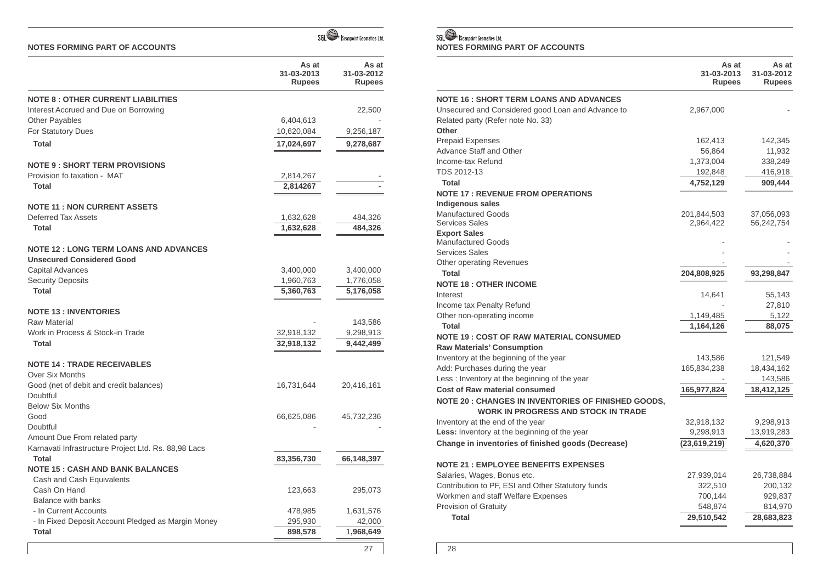# **NOTES FORMING PART OF ACCOUNTS**

SGL<sup>S</sup> Seanpoint Geomatics Ltd.

|                                                      | As at<br>31-03-2013<br><b>Rupees</b> | As at<br>31-03-2012<br><b>Rupees</b> |                      |
|------------------------------------------------------|--------------------------------------|--------------------------------------|----------------------|
| <b>NOTE 8: OTHER CURRENT LIABILITIES</b>             |                                      |                                      | <b>NOTE</b>          |
| Interest Accrued and Due on Borrowing                |                                      | 22,500                               | Unsec                |
| <b>Other Payables</b>                                | 6,404,613                            |                                      | Relate               |
| For Statutory Dues                                   | 10,620,084                           | 9,256,187                            | Other                |
| <b>Total</b>                                         | 17,024,697                           | 9,278,687                            | Prepai<br>Advan      |
| <b>NOTE 9 : SHORT TERM PROVISIONS</b>                |                                      |                                      | Income               |
| Provision fo taxation - MAT                          | 2,814,267                            |                                      | TDS <sub>2</sub>     |
| <b>Total</b>                                         | 2,814267                             |                                      | Total<br><b>NOTE</b> |
| <b>NOTE 11: NON CURRENT ASSETS</b>                   |                                      |                                      | Indige               |
| <b>Deferred Tax Assets</b>                           | 1,632,628                            | 484,326                              | Manufa               |
| <b>Total</b>                                         | 1,632,628                            | 484,326                              | Service<br>Export    |
| <b>NOTE 12 : LONG TERM LOANS AND ADVANCES</b>        |                                      |                                      | Manufa<br>Service    |
| <b>Unsecured Considered Good</b>                     |                                      |                                      | Other                |
| <b>Capital Advances</b>                              | 3,400,000                            | 3,400,000                            | Total                |
| <b>Security Deposits</b>                             | 1,960,763                            | 1,776,058                            | <b>NOTE</b>          |
| <b>Total</b>                                         | 5,360,763                            | 5,176,058                            | Interes              |
| <b>NOTE 13: INVENTORIES</b>                          |                                      |                                      | Income<br>Other i    |
| <b>Raw Material</b>                                  |                                      | 143,586                              | Total                |
| Work in Process & Stock-in Trade                     | 32,918,132                           | 9,298,913                            | <b>NOTE</b>          |
| <b>Total</b>                                         | 32,918,132                           | 9,442,499                            | Raw N                |
| <b>NOTE 14 : TRADE RECEIVABLES</b>                   |                                      |                                      | Invento<br>Add: P    |
| Over Six Months                                      |                                      |                                      | Less:                |
| Good (net of debit and credit balances)              | 16,731,644                           | 20,416,161                           | Cost c               |
| Doubtful                                             |                                      |                                      | <b>NOTE</b>          |
| <b>Below Six Months</b>                              |                                      |                                      |                      |
| Good                                                 | 66,625,086                           | 45,732,236                           | Invento              |
| Doubtful                                             |                                      |                                      | Less:                |
| Amount Due From related party                        |                                      |                                      | Chang                |
| Karnavati Infrastructure Project Ltd. Rs. 88,98 Lacs |                                      |                                      |                      |
| Total                                                | 83,356,730                           | 66,148,397                           |                      |
| <b>NOTE 15 : CASH AND BANK BALANCES</b>              |                                      |                                      | <b>NOTE</b>          |
| Cash and Cash Equivalents                            |                                      |                                      | Salarie<br>Contril   |
| Cash On Hand                                         | 123,663                              | 295,073                              |                      |
| Balance with banks                                   |                                      |                                      | Workm                |
| - In Current Accounts                                | 478,985                              | 1,631,576                            | Provisi              |
| - In Fixed Deposit Account Pledged as Margin Money   | 295,930                              | 42,000                               | Tc                   |
| <b>Total</b>                                         | 898,578                              | 1,968,649                            |                      |
|                                                      |                                      | 27                                   | 28                   |

# $SGL$  Scanpoint Geomatics Ltd. **NOTES FORMING PART OF ACCOUNTS**

|                                                                                                          | As at<br>31-03-2013<br><b>Rupees</b> | As at<br>31-03-2012<br><b>Rupees</b> |
|----------------------------------------------------------------------------------------------------------|--------------------------------------|--------------------------------------|
| <b>NOTE 16:SHORT TERM LOANS AND ADVANCES</b>                                                             |                                      |                                      |
| Unsecured and Considered good Loan and Advance to                                                        | 2,967,000                            |                                      |
| Related party (Refer note No. 33)                                                                        |                                      |                                      |
| Other                                                                                                    |                                      |                                      |
| <b>Prepaid Expenses</b>                                                                                  | 162,413                              | 142,345                              |
| Advance Staff and Other                                                                                  | 56,864                               | 11,932                               |
| Income-tax Refund                                                                                        | 1,373,004                            | 338,249                              |
| TDS 2012-13                                                                                              | 192,848                              | 416,918                              |
| Total                                                                                                    | 4,752,129                            | 909,444                              |
| <b>NOTE 17 : REVENUE FROM OPERATIONS</b>                                                                 |                                      |                                      |
| <b>Indigenous sales</b>                                                                                  |                                      |                                      |
| <b>Manufactured Goods</b>                                                                                | 201,844,503                          | 37,056,093                           |
| <b>Services Sales</b>                                                                                    | 2,964,422                            | 56,242,754                           |
| <b>Export Sales</b>                                                                                      |                                      |                                      |
| <b>Manufactured Goods</b>                                                                                |                                      |                                      |
| <b>Services Sales</b>                                                                                    |                                      |                                      |
| Other operating Revenues                                                                                 |                                      |                                      |
| <b>Total</b>                                                                                             | 204,808,925                          | 93,298,847                           |
| <b>NOTE 18 : OTHER INCOME</b>                                                                            |                                      |                                      |
| Interest                                                                                                 | 14,641                               | 55,143                               |
| Income tax Penalty Refund                                                                                |                                      | 27,810                               |
| Other non-operating income                                                                               | 1,149,485                            | 5,122                                |
| <b>Total</b>                                                                                             | 1,164,126                            | 88,075                               |
| <b>NOTE 19 : COST OF RAW MATERIAL CONSUMED</b>                                                           |                                      |                                      |
| <b>Raw Materials' Consumption</b>                                                                        |                                      |                                      |
| Inventory at the beginning of the year                                                                   | 143,586                              | 121,549                              |
| Add: Purchases during the year                                                                           | 165,834,238                          | 18,434,162                           |
| Less: Inventory at the beginning of the year                                                             |                                      | 143,586                              |
| <b>Cost of Raw material consumed</b>                                                                     | 165,977,824                          | 18,412,125                           |
| <b>NOTE 20 : CHANGES IN INVENTORIES OF FINISHED GOODS,</b><br><b>WORK IN PROGRESS AND STOCK IN TRADE</b> |                                      |                                      |
| Inventory at the end of the year                                                                         | 32,918,132                           | 9,298,913                            |
| Less: Inventory at the beginning of the year                                                             | 9,298,913                            | 13,919,283                           |
| Change in inventories of finished goods (Decrease)                                                       | (23, 619, 219)                       | 4,620,370                            |
| <b>NOTE 21 : EMPLOYEE BENEFITS EXPENSES</b>                                                              |                                      |                                      |
| Salaries, Wages, Bonus etc.                                                                              | 27,939,014                           | 26,738,884                           |
| Contribution to PF, ESI and Other Statutory funds                                                        | 322,510                              | 200,132                              |
| Workmen and staff Welfare Expenses                                                                       | 700,144                              | 929,837                              |
| <b>Provision of Gratuity</b>                                                                             | 548,874                              | 814,970                              |
| <b>Total</b>                                                                                             | 29,510,542                           | 28,683,823                           |
|                                                                                                          |                                      |                                      |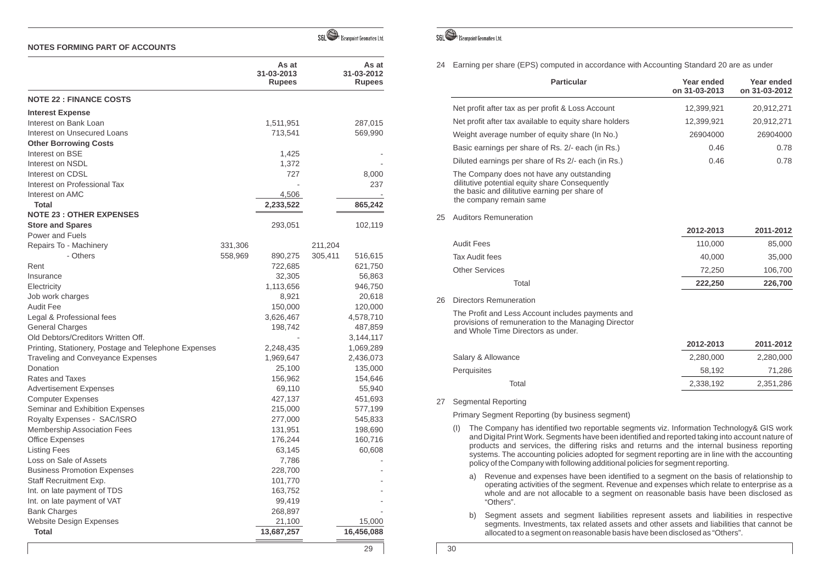| <b>NOTES FORMING PART OF ACCOUNTS</b>                |         |                                      | Tacanhaim acomainto ria |                                      |
|------------------------------------------------------|---------|--------------------------------------|-------------------------|--------------------------------------|
|                                                      |         | As at<br>31-03-2013<br><b>Rupees</b> |                         | As at<br>31-03-2012<br><b>Rupees</b> |
| <b>NOTE 22 : FINANCE COSTS</b>                       |         |                                      |                         |                                      |
| <b>Interest Expense</b>                              |         |                                      |                         |                                      |
| Interest on Bank Loan                                |         | 1,511,951                            |                         | 287,015                              |
| Interest on Unsecured Loans                          |         | 713,541                              |                         | 569,990                              |
| <b>Other Borrowing Costs</b>                         |         |                                      |                         |                                      |
| Interest on BSE                                      |         | 1,425                                |                         |                                      |
| Interest on NSDL                                     |         | 1,372                                |                         |                                      |
| Interest on CDSL                                     |         | 727                                  |                         | 8,000                                |
| Interest on Professional Tax                         |         |                                      |                         | 237                                  |
| Interest on AMC                                      |         | 4,506                                |                         |                                      |
| <b>Total</b>                                         |         | 2,233,522                            |                         | 865,242                              |
| <b>NOTE 23 : OTHER EXPENSES</b>                      |         |                                      |                         |                                      |
| <b>Store and Spares</b>                              |         | 293,051                              |                         | 102,119                              |
| Power and Fuels                                      |         |                                      |                         |                                      |
| Repairs To - Machinery                               | 331,306 |                                      | 211,204                 |                                      |
| - Others                                             | 558,969 | 890,275                              | 305,411                 | 516,615                              |
| Rent                                                 |         | 722,685                              |                         | 621,750                              |
| Insurance                                            |         | 32,305                               |                         |                                      |
|                                                      |         |                                      |                         | 56,863<br>946,750                    |
| Electricity<br>Job work charges                      |         | 1,113,656                            |                         |                                      |
| <b>Audit Fee</b>                                     |         | 8,921<br>150,000                     |                         | 20,618                               |
|                                                      |         |                                      |                         | 120,000                              |
| Legal & Professional fees                            |         | 3,626,467                            |                         | 4,578,710                            |
| <b>General Charges</b>                               |         | 198,742                              |                         | 487,859                              |
| Old Debtors/Creditors Written Off.                   |         |                                      |                         | 3,144,117                            |
| Printing, Stationery, Postage and Telephone Expenses |         | 2,248,435                            |                         | 1,069,289                            |
| Traveling and Conveyance Expenses                    |         | 1,969,647                            |                         | 2,436,073                            |
| Donation                                             |         | 25,100                               |                         | 135,000                              |
| Rates and Taxes                                      |         | 156,962                              |                         | 154,646                              |
| <b>Advertisement Expenses</b>                        |         | 69,110                               |                         | 55,940                               |
| <b>Computer Expenses</b>                             |         | 427,137                              |                         | 451,693                              |
| Seminar and Exhibition Expenses                      |         | 215,000                              |                         | 577,199                              |
| Royalty Expenses - SAC/ISRO                          |         | 277,000                              |                         | 545,833                              |
| Membership Association Fees                          |         | 131,951                              |                         | 198,690                              |
| <b>Office Expenses</b>                               |         | 176,244                              |                         | 160,716                              |
| <b>Listing Fees</b>                                  |         | 63,145                               |                         | 60,608                               |
| Loss on Sale of Assets                               |         | 7,786                                |                         |                                      |
| <b>Business Promotion Expenses</b>                   |         | 228,700                              |                         |                                      |
| Staff Recruitment Exp.                               |         | 101,770                              |                         |                                      |
| Int. on late payment of TDS                          |         | 163,752                              |                         |                                      |
| Int. on late payment of VAT                          |         | 99,419                               |                         |                                      |
| <b>Bank Charges</b>                                  |         | 268,897                              |                         |                                      |
| <b>Website Design Expenses</b>                       |         | 21,100                               |                         | 15,000                               |
| Total                                                |         | 13,687,257                           |                         | 16,456,088                           |
|                                                      |         |                                      |                         | 29                                   |



 $\overline{\mathbb{Q}_n}$ 

and the company

24 Earning per share (EPS) computed in accordance with Accounting Standard 20 are as under

| 12,399,921<br>12,399,921<br>26904000<br>0.46<br>0.46 | 20,912,271<br>20,912,271<br>26904000<br>0.78 |
|------------------------------------------------------|----------------------------------------------|
|                                                      |                                              |
|                                                      |                                              |
|                                                      |                                              |
|                                                      |                                              |
|                                                      | 0.78                                         |
|                                                      |                                              |
|                                                      |                                              |
| 2012-2013                                            | 2011-2012                                    |
| 110.000                                              | 85,000                                       |
| 40,000                                               | 35,000                                       |
| 72,250                                               | 106,700                                      |
| 222,250                                              | 226,700                                      |
|                                                      |                                              |
|                                                      |                                              |
| 2012-2013                                            | 2011-2012                                    |
| 2,280,000                                            | 2,280,000                                    |
| 58,192                                               | 71,286                                       |
| 2,338,192                                            | 2,351,286                                    |
|                                                      |                                              |
|                                                      |                                              |
|                                                      |                                              |

- (I) The Company has identified two reportable segments viz. Information Technology& GIS work and Digital Print Work. Segments have been identified and reported taking into account nature of products and services, the differing risks and returns and the internal business reporting systems. The accounting policies adopted for segment reporting are in line with the accounting policy of the Company with following additional policies for segment reporting.
	- a) Revenue and expenses have been identified to a segment on the basis of relationship to operating activities of the segment. Revenue and expenses which relate to enterprise as a whole and are not allocable to a segment on reasonable basis have been disclosed as "Others".
	- b) Segment assets and segment liabilities represent assets and liabilities in respective segments. Investments, tax related assets and other assets and liabilities that cannot be allocated to a segment on reasonable basis have been disclosed as "Others".

30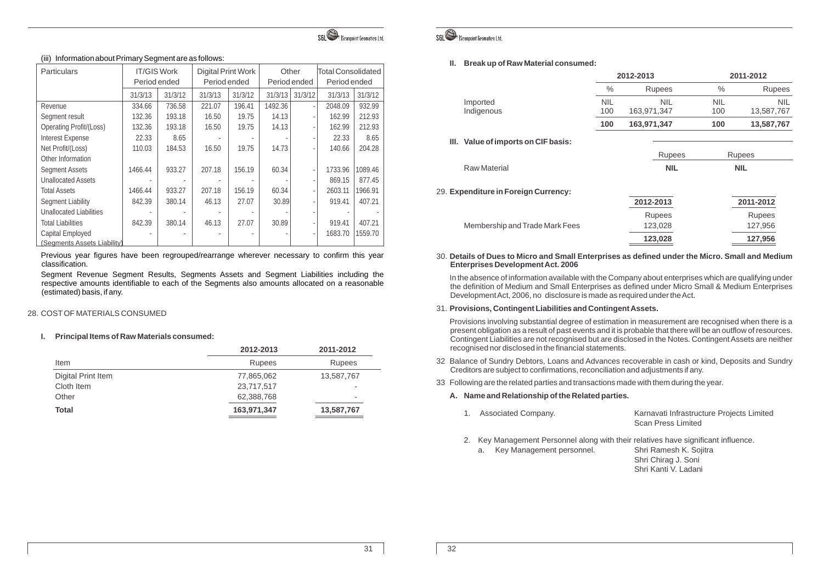

#### (iii) Information about Primary Segment are as follows:

| <b>Particulars</b>             | <b>IT/GIS Work</b><br>Period ended |         | <b>Digital Print Work</b><br>Period ended |         |         | Other<br>Period ended | <b>Total Consolidated</b><br>Period ended |         |
|--------------------------------|------------------------------------|---------|-------------------------------------------|---------|---------|-----------------------|-------------------------------------------|---------|
|                                | 31/3/13                            | 31/3/12 | 31/3/13                                   | 31/3/12 | 31/3/13 | 31/3/12               | 31/3/13                                   | 31/3/12 |
| Revenue                        | 334.66                             | 736.58  | 221.07                                    | 196.41  | 1492.36 |                       | 2048.09                                   | 932.99  |
| Segment result                 | 132.36                             | 193.18  | 16.50                                     | 19.75   | 14.13   |                       | 162.99                                    | 212.93  |
| Operating Profit/(Loss)        | 132.36                             | 193.18  | 16.50                                     | 19.75   | 14.13   |                       | 162.99                                    | 212.93  |
| <b>Interest Expense</b>        | 22.33                              | 8.65    |                                           |         |         |                       | 22.33                                     | 8.65    |
| Net Profit/(Loss)              | 110.03                             | 184.53  | 16.50                                     | 19.75   | 14.73   |                       | 140.66                                    | 204.28  |
| Other Information              |                                    |         |                                           |         |         |                       |                                           |         |
| <b>Segment Assets</b>          | 1466.44                            | 933.27  | 207.18                                    | 156.19  | 60.34   |                       | 1733.96                                   | 1089.46 |
| <b>Unallocated Assets</b>      |                                    |         |                                           |         |         |                       | 869.15                                    | 877.45  |
| <b>Total Assets</b>            | 1466.44                            | 933.27  | 207.18                                    | 156.19  | 60.34   |                       | 2603.11                                   | 1966.91 |
| <b>Segment Liability</b>       | 842.39                             | 380.14  | 46.13                                     | 27.07   | 30.89   |                       | 919.41                                    | 407.21  |
| <b>Unallocated Liabilities</b> |                                    |         |                                           |         |         |                       |                                           |         |
| <b>Total Liabilities</b>       | 842.39                             | 380.14  | 46.13                                     | 27.07   | 30.89   |                       | 919.41                                    | 407.21  |
| Capital Employed               |                                    |         |                                           |         |         |                       | 1683.70                                   | 1559.70 |
| (Segments Assets Liability)    |                                    |         |                                           |         |         |                       |                                           |         |

Previous year figures have been regrouped/rearrange wherever necessary to confirm this year classification.

Segment Revenue Segment Results, Segments Assets and Segment Liabilities including the respective amounts identifiable to each of the Segments also amounts allocated on a reasonable (estimated) basis, if any.

#### 28. COSTOF MATERIALS CONSUMED

#### **I. Principal Items of Raw Materials consumed:**

|                    | 2012-2013     | 2011-2012  |
|--------------------|---------------|------------|
| Item               | <b>Rupees</b> | Rupees     |
| Digital Print Item | 77,865,062    | 13,587,767 |
| Cloth Item         | 23,717,517    |            |
| Other              | 62,388,768    | -          |
| <b>Total</b>       | 163,971,347   | 13,587,767 |



#### **II. Break up of Raw Material consumed:**

|                                      | 2012-2013  |               | 2011-2012  |            |
|--------------------------------------|------------|---------------|------------|------------|
|                                      | $\%$       | Rupees        | $\%$       | Rupees     |
| Imported                             | <b>NIL</b> | <b>NIL</b>    | <b>NIL</b> | <b>NIL</b> |
| Indigenous                           | 100        | 163,971,347   | 100        | 13,587,767 |
|                                      | 100        | 163,971,347   | 100        | 13,587,767 |
| III. Value of imports on CIF basis:  |            |               |            |            |
|                                      |            | Rupees        |            | Rupees     |
| Raw Material                         |            | <b>NIL</b>    |            | <b>NIL</b> |
| 29. Expenditure in Foreign Currency: |            |               |            |            |
|                                      |            | 2012-2013     |            | 2011-2012  |
|                                      |            | <b>Rupees</b> |            | Rupees     |
| Membership and Trade Mark Fees       |            | 123,028       |            | 127,956    |
|                                      |            | 123,028       |            | 127,956    |

#### 30. **Details of Dues to Micro and Small Enterprises as defined under the Micro. Small and Medium Enterprises Development Act. 2006**

In the absence of information available with the Company about enterprises which are qualifying under the definition of Medium and Small Enterprises as defined under Micro Small & Medium Enterprises Development Act, 2006, no disclosure is made as required under the Act.

#### 31. **Provisions, Contingent Liabilities and Contingent Assets.**

Provisions involving substantial degree of estimation in measurement are recognised when there is a present obligation as a result of past events and it is probable that there will be an outflow of resources. Contingent Liabilities are not recognised but are disclosed in the Notes. Contingent Assets are neither recognised nor disclosed in the financial statements.

- 32 Balance of Sundry Debtors, Loans and Advances recoverable in cash or kind, Deposits and Sundry Creditors are subject to confirmations, reconciliation and adjustments if any.
- 33 Following are the related parties and transactions made with them during the year.

#### **A. Name and Relationship of the Related parties.**

| Associated Company. | Karnavati Infrastructure Projects Limited |
|---------------------|-------------------------------------------|
|                     | Scan Press Limited                        |

2. Key Management Personnel along with their relatives have significant influence.

a. Key Management personnel. Shri Ramesh K. Sojitra Shri Chirag J. Soni Shri Kanti V. Ladani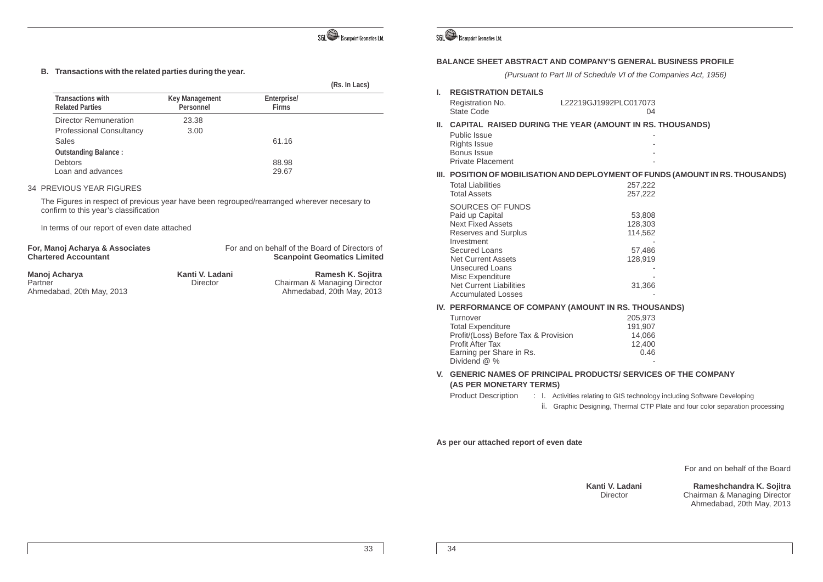

**(Rs. In Lacs)**

#### **B. Transactions with the related parties during the year.**

|                                                    |                             |                             | (RS. III LACS) |
|----------------------------------------------------|-----------------------------|-----------------------------|----------------|
| <b>Transactions with</b><br><b>Related Parties</b> | Key Management<br>Personnel | Enterprise/<br><b>Firms</b> |                |
| Director Remuneration                              | 23.38                       |                             |                |
| <b>Professional Consultancy</b>                    | 3.00                        |                             |                |
| Sales                                              |                             | 61.16                       |                |
| Outstanding Balance:                               |                             |                             |                |
| <b>Debtors</b>                                     |                             | 88.98                       |                |
| Loan and advances                                  |                             | 29.67                       |                |

#### 34 PREVIOUS YEAR FIGURES

The Figures in respect of previous year have been regrouped/rearranged wherever necesary to confirm to this year's classification

In terms of our report of even date attached

| For, Manoj Acharya & Associates<br><b>Chartered Accountant</b> |                             | For and on behalf of the Board of Directors of<br><b>Scanpoint Geomatics Limited</b> |
|----------------------------------------------------------------|-----------------------------|--------------------------------------------------------------------------------------|
| Manoj Acharya<br>Partner<br>Ahmedabad, 20th May, 2013          | Kanti V. Ladani<br>Director | Ramesh K. Sojitra<br>Chairman & Managing Director<br>Ahmedabad, 20th May, 2013       |
|                                                                |                             |                                                                                      |



#### **BALANCE SHEET ABSTRACT AND COMPANY'S GENERAL BUSINESS PROFILE**

*(Pursuant to Part III of Schedule VI of the Companies Act, 1956)*

| Ι. | <b>REGISTRATION DETAILS</b><br>Registration No.<br><b>State Code</b>           | L22219GJ1992PLC017073<br>04 |                                                                                 |
|----|--------------------------------------------------------------------------------|-----------------------------|---------------------------------------------------------------------------------|
|    | <b>II. CAPITAL RAISED DURING THE YEAR (AMOUNT IN RS. THOUSANDS)</b>            |                             |                                                                                 |
|    | Public Issue<br><b>Rights Issue</b><br>Bonus Issue<br><b>Private Placement</b> |                             |                                                                                 |
|    | <b>Total Liabilities</b>                                                       | 257.222                     | III. POSITION OF MOBILISATION AND DEPLOYMENT OF FUNDS (AMOUNT IN RS. THOUSANDS) |
|    | <b>Total Assets</b>                                                            | 257.222                     |                                                                                 |
|    | SOURCES OF FUNDS<br>Paid up Capital                                            | 53.808                      |                                                                                 |

| <b>Next Fixed Assets</b>       | 128,303 |
|--------------------------------|---------|
| Reserves and Surplus           | 114,562 |
| Investment                     |         |
| <b>Secured Loans</b>           | 57,486  |
| <b>Net Current Assets</b>      | 128,919 |
| <b>Unsecured Loans</b>         |         |
| Misc Expenditure               |         |
| <b>Net Current Liabilities</b> | 31.366  |
| <b>Accumulated Losses</b>      |         |
|                                |         |

#### **IV. PERFORMANCE OF COMPANY (AMOUNT IN RS. THOUSANDS)**

| Turnover                             | 205.973 |
|--------------------------------------|---------|
| <b>Total Expenditure</b>             | 191.907 |
| Profit/(Loss) Before Tax & Provision | 14.066  |
| <b>Profit After Tax</b>              | 12.400  |
| Earning per Share in Rs.             | 0.46    |
| Dividend @ %                         |         |

#### **V. GENERIC NAMES OF PRINCIPAL PRODUCTS/ SERVICES OF THE COMPANY (AS PER MONETARY TERMS)**

Product Description : I. Activities relating to GIS technology including Software Developing

ii. Graphic Designing, Thermal CTP Plate and four color separation processing

**As per our attached report of even date** 

For and on behalf of the Board

**Kanti V. Ladani**

**Rameshchandra K. Sojitra** Director Chairman & Managing Director Ahmedabad, 20th May, 2013